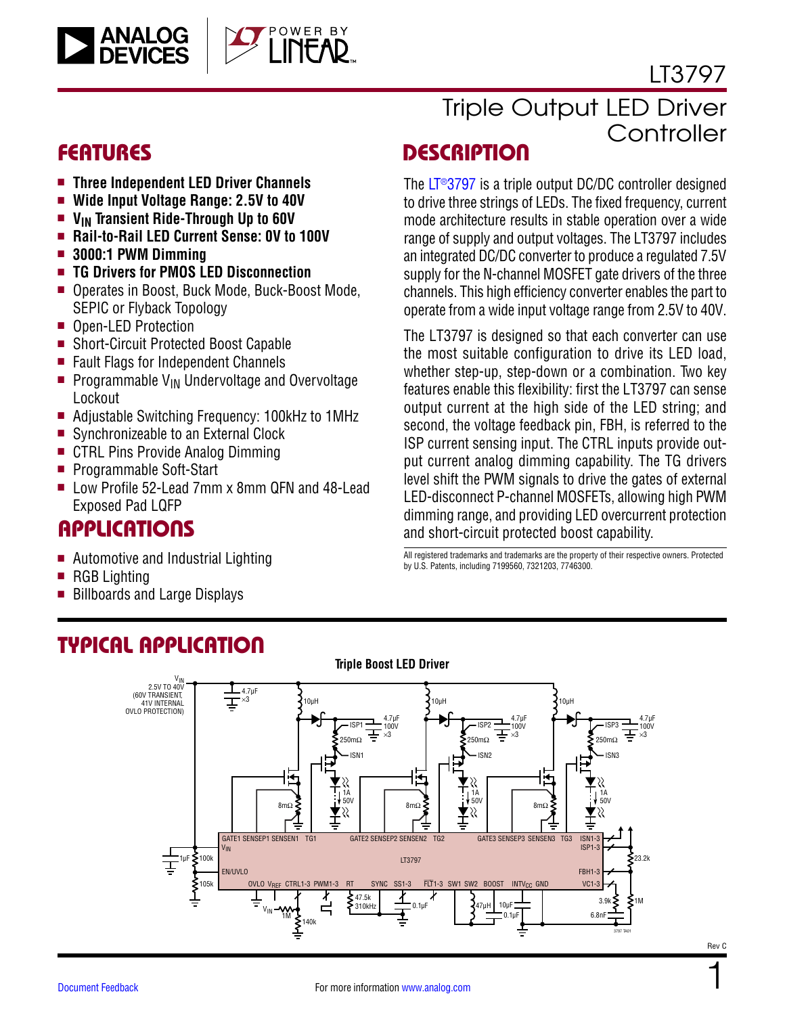

### LT3797

1

Rev C

- **n** Three Independent LED Driver Channels
- Wide Input Voltage Range: 2.5V to 40V
- **n** V<sub>IN</sub> Transient Ride-Through Up to 60V
- **E** Rail-to-Rail LED Current Sense: 0V to 100V
- $\blacksquare$  **3000:1 PWM Dimming**
- **n** TG Drivers for PMOS LED Disconnection
- Operates in Boost, Buck Mode, Buck-Boost Mode, SEPIC or Flyback Topology
- Open-LED Protection
- Short-Circuit Protected Boost Capable
- Fault Flags for Independent Channels
- Programmable  $V_{IN}$  Undervoltage and Overvoltage Lockout
- Adjustable Switching Frequency: 100kHz to 1MHz
- Synchronizeable to an External Clock
- CTRL Pins Provide Analog Dimming
- Programmable Soft-Start
- Low Profile 52-Lead 7mm x 8mm QFN and 48-Lead Exposed Pad LQFP

### **APPLICATIONS**

- Automotive and Industrial Lighting
- $\blacksquare$  RGB Lighting
- Billboards and Large Displays

# Triple Output LED Driver **Controller**

### FEATURES DESCRIPTION

The [LT®3797](http://www.analog.com/LT3797?doc=LT3797.pdf) is a triple output DC/DC controller designed to drive three strings of LEDs. The fixed frequency, current mode architecture results in stable operation over a wide range of supply and output voltages. The LT3797 includes an integrated DC/DC converter to produce a regulated 7.5V supply for the N-channel MOSFET gate drivers of the three channels. This high efficiency converter enables the part to operate from a wide input voltage range from 2.5V to 40V.

The LT3797 is designed so that each converter can use the most suitable configuration to drive its LED load, whether step-up, step-down or a combination. Two key features enable this flexibility: first the LT3797 can sense output current at the high side of the LED string; and second, the voltage feedback pin, FBH, is referred to the ISP current sensing input. The CTRL inputs provide output current analog dimming capability. The TG drivers level shift the PWM signals to drive the gates of external LED-disconnect P-channel MOSFETs, allowing high PWM dimming range, and providing LED overcurrent protection and short-circuit protected boost capability.

All registered trademarks and trademarks are the property of their respective owners. Protected by U.S. Patents, including 7199560, 7321203, 7746300.



### TYPICAL APPLICATION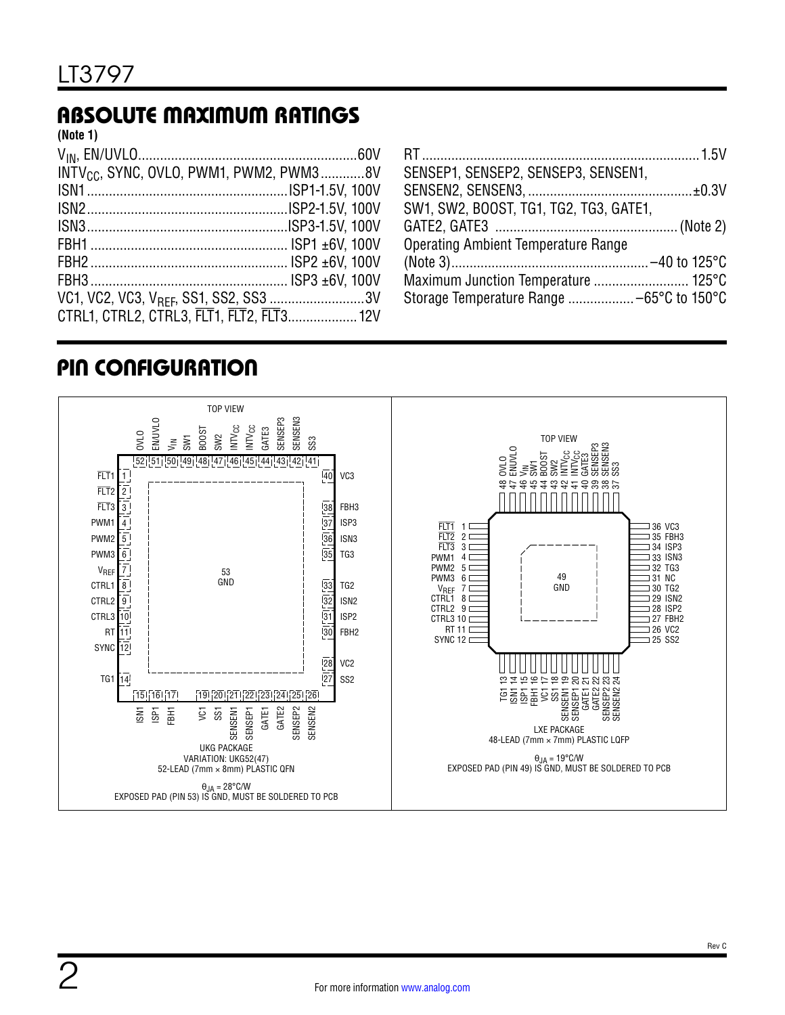### ABSOLUTE MAXIMUM RATINGS

**(Note 1)**

| INTV <sub>CC</sub> , SYNC, OVLO, PWM1, PWM2, PWM38V |  |
|-----------------------------------------------------|--|
|                                                     |  |
|                                                     |  |
|                                                     |  |
|                                                     |  |
|                                                     |  |
|                                                     |  |
| VC1, VC2, VC3, V <sub>RFF</sub> , SS1, SS2, SS3 3V  |  |
| CTRL1, CTRL2, CTRL3, FLT1, FLT2, FLT3 12V           |  |

| SENSEP1, SENSEP2, SENSEP3, SENSEN1,    |  |
|----------------------------------------|--|
|                                        |  |
| SW1, SW2, BOOST, TG1, TG2, TG3, GATE1, |  |
|                                        |  |
| Operating Ambient Temperature Range    |  |
|                                        |  |
|                                        |  |
|                                        |  |

### PIN CONFIGURATION

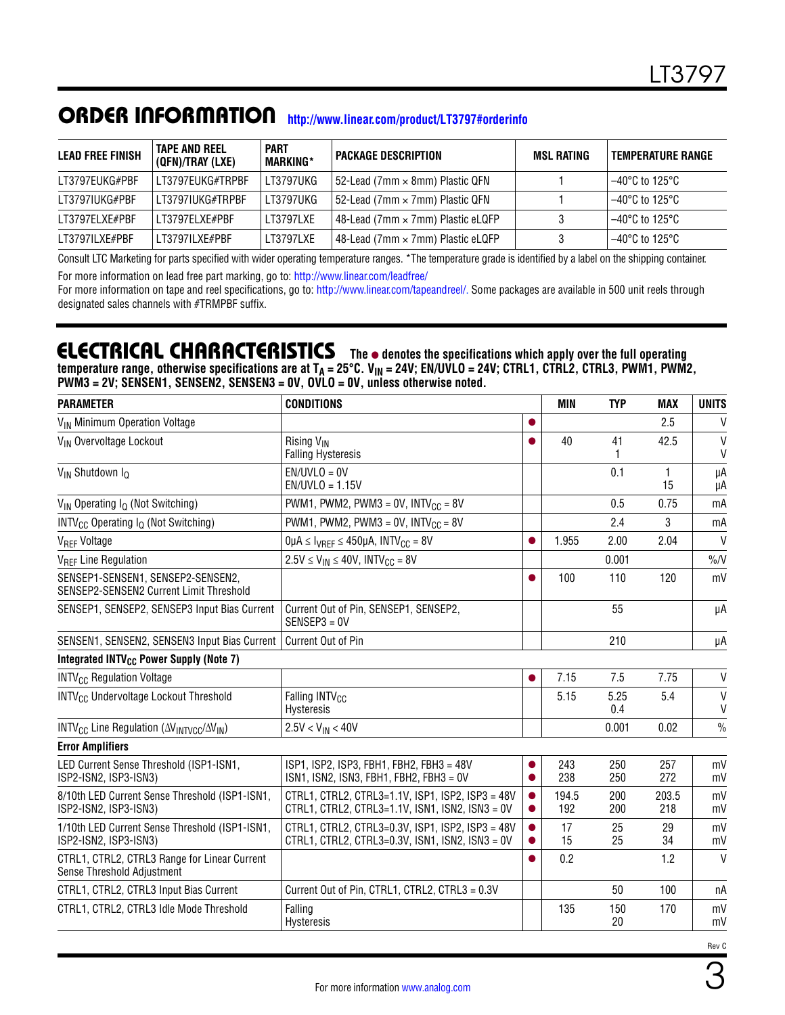### ORDER INFORMATION **[http://www.linear.com/product/LT3797#orderinfo](http://www.linear.com/product/LT3797#orderinfohttp?doc=LT3797.pdf)**

| <b>LEAD FREE FINISH</b> | TAPE AND REEL<br>(QFN)/TRAY (LXE) | <b>PART</b><br><b>MARKING*</b> | <b>PACKAGE DESCRIPTION</b>               | MSL RATING | <b>TEMPERATURE RANGE</b> |
|-------------------------|-----------------------------------|--------------------------------|------------------------------------------|------------|--------------------------|
| LT3797EUKG#PBF          | LT3797EUKG#TRPBF                  | LT3797UKG                      | 52-Lead (7mm × 8mm) Plastic QFN          |            | l –40°C to 125°C l       |
| LT3797IUKG#PBF          | LT3797IUKG#TRPBF                  | LT3797UKG                      | 52-Lead (7mm $\times$ 7mm) Plastic QFN   |            | l –40°C to 125°C l       |
| LT3797ELXE#PBF          | LT3797ELXE#PBF                    | LT3797LXE                      | 48-Lead (7mm $\times$ 7mm) Plastic eLQFP |            | l –40°C to 125°C l       |
| I T3797II XF#PRF        | I T3797II XF#PRF                  | LT3797LXE                      | 48-Lead (7mm $\times$ 7mm) Plastic eLQFP | 3          | l –40°C to 125°C l       |

Consult LTC Marketing for parts specified with wider operating temperature ranges. \*The temperature grade is identified by a label on the shipping container. For more information on lead free part marking, go to: [http://www.linear.com/leadfree/](http://www.linear.com/leadfree/?doc=LT3797.pdf) 

For more information on tape and reel specifications, go to: [http://www.linear.com/tapeandreel/.](http://www.linear.com/tapeandreel/?doc=LT3797.pdf) Some packages are available in 500 unit reels through designated sales channels with #TRMPBF suffix.

### **ELECTRICAL CHARACTERISTICS** The  $\bullet$  denotes the specifications which apply over the full operating

temperature range, otherwise specifications are at T<sub>A</sub> = 25°C. V<sub>IN</sub> = 24V; EN/UVLO = 24V; CTRL1, CTRL2, CTRL3, PWM1, PWM2, **PWM3 = 2V; SENSEN1, SENSEN2, SENSEN3 = 0V, OVLO = 0V, unless otherwise noted.**

| <b>CONDITIONS</b>                                                                                                                                                              |  | <b>MIN</b>   | <b>TYP</b>  | <b>MAX</b>   | <b>UNITS</b>      |
|--------------------------------------------------------------------------------------------------------------------------------------------------------------------------------|--|--------------|-------------|--------------|-------------------|
|                                                                                                                                                                                |  |              |             | 2.5          | V                 |
| Rising V <sub>IN</sub><br><b>Falling Hysteresis</b>                                                                                                                            |  | 40           | 41<br>1     | 42.5         | $\mathsf{V}$<br>V |
| $EN/UVLO = OV$<br>$EN/UVLO = 1.15V$                                                                                                                                            |  |              | 0.1         | 1<br>15      | μA<br>μA          |
| PWM1, PWM2, PWM3 = 0V, $INTV_{CC}$ = 8V                                                                                                                                        |  |              | 0.5         | 0.75         | mA                |
| PWM1, PWM2, PWM3 = $0V$ , INTV <sub>CC</sub> = $8V$                                                                                                                            |  |              | 2.4         | 3            | mA                |
| $0\mu A \leq I_{VREF} \leq 450\mu A$ , INTV <sub>CC</sub> = 8V                                                                                                                 |  | 1.955        | 2.00        | 2.04         | V                 |
| $2.5V \le V_{IN} \le 40V$ , INTV <sub>CC</sub> = 8V                                                                                                                            |  |              | 0.001       |              | $\%N$             |
|                                                                                                                                                                                |  | 100          | 110         | 120          | mV                |
| Current Out of Pin, SENSEP1, SENSEP2,<br>$SENSEP3 = 0V$                                                                                                                        |  |              | 55          |              | μA                |
| Current Out of Pin                                                                                                                                                             |  |              | 210         |              | μA                |
|                                                                                                                                                                                |  |              |             |              |                   |
|                                                                                                                                                                                |  | 7.15         | 7.5         | 7.75         | $\mathsf{V}$      |
| Falling INTV <sub>CC</sub><br>Hysteresis                                                                                                                                       |  | 5.15         | 5.25<br>0.4 | 5.4          | $\mathsf{V}$<br>V |
| $2.5V < V_{IN} < 40V$                                                                                                                                                          |  |              | 0.001       | 0.02         | $\%$              |
|                                                                                                                                                                                |  |              |             |              |                   |
| ISP1, ISP2, ISP3, FBH1, FBH2, FBH3 = 48V<br>$ISN1$ , $ISN2$ , $ISN3$ , $FBH1$ , $FBH2$ , $FBH3 = 0V$                                                                           |  | 243<br>238   | 250<br>250  | 257<br>272   | mV<br>mV          |
| CTRL1, CTRL2, CTRL3=1.1V, ISP1, ISP2, ISP3 = 48V<br>8/10th LED Current Sense Threshold (ISP1-ISN1,<br>ISP2-ISN2, ISP3-ISN3)<br>CTRL1, CTRL2, CTRL3=1.1V, ISN1, ISN2, ISN3 = 0V |  | 194.5<br>192 | 200<br>200  | 203.5<br>218 | mV<br>mV          |
| CTRL1, CTRL2, CTRL3=0.3V, ISP1, ISP2, ISP3 = 48V<br>CTRL1, CTRL2, CTRL3=0.3V, ISN1, ISN2, ISN3 = 0V                                                                            |  | 17<br>15     | 25<br>25    | 29<br>34     | mV<br>mV          |
|                                                                                                                                                                                |  | 0.2          |             | 1.2          | $\mathsf{V}$      |
| Current Out of Pin, CTRL1, CTRL2, CTRL3 = 0.3V                                                                                                                                 |  |              | 50          | 100          | nA                |
| Falling<br>Hysteresis                                                                                                                                                          |  | 135          | 150<br>20   | 170          | mV<br>mV          |
|                                                                                                                                                                                |  |              |             |              |                   |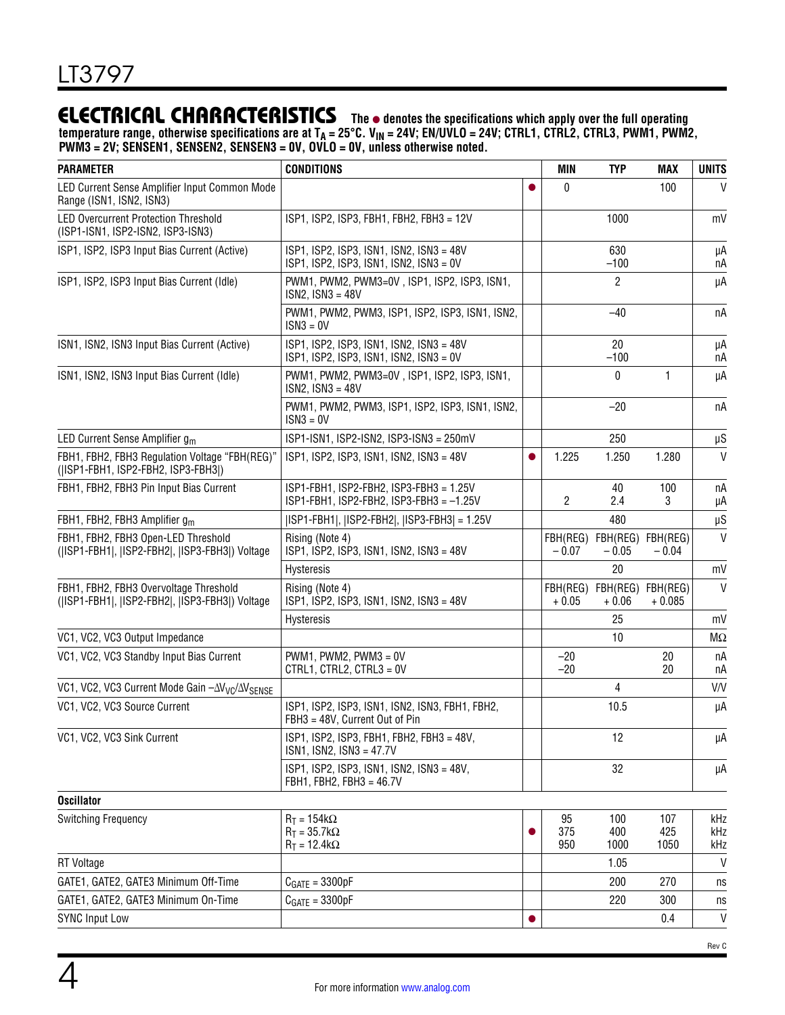### **ELECTRICAL CHARACTERISTICS** The  $\bullet$  denotes the specifications which apply over the full operating

temperature range, otherwise specifications are at T<sub>A</sub> = 25°C. V<sub>IN</sub> = 24V; EN/UVLO = 24V; CTRL1, CTRL2, CTRL3, PWM1, PWM2, **PWM3 = 2V; SENSEN1, SENSEN2, SENSEN3 = 0V, OVLO = 0V, unless otherwise noted.**

| <b>PARAMETER</b>                                                                       | <b>CONDITIONS</b>                                                                                    |           | <b>MIN</b>          | <b>TYP</b>                   | <b>MAX</b>           | <b>UNITS</b>      |
|----------------------------------------------------------------------------------------|------------------------------------------------------------------------------------------------------|-----------|---------------------|------------------------------|----------------------|-------------------|
| LED Current Sense Amplifier Input Common Mode<br>Range (ISN1, ISN2, ISN3)              |                                                                                                      |           | 0                   |                              | 100                  | $\mathsf{V}$      |
| <b>LED Overcurrent Protection Threshold</b><br>(ISP1-ISN1, ISP2-ISN2, ISP3-ISN3)       | ISP1, ISP2, ISP3, FBH1, FBH2, FBH3 = 12V                                                             |           |                     | 1000                         |                      | mV                |
| ISP1, ISP2, ISP3 Input Bias Current (Active)                                           | ISP1, ISP2, ISP3, ISN1, ISN2, ISN3 = 48V<br>$ISP1$ , $ISP2$ , $ISP3$ , $ISN1$ , $ISN2$ , $ISN3 = OV$ |           |                     | 630<br>$-100$                |                      | μA<br>пA          |
| ISP1, ISP2, ISP3 Input Bias Current (Idle)                                             | PWM1, PWM2, PWM3=0V, ISP1, ISP2, ISP3, ISN1,<br>$ISN2, ISN3 = 48V$                                   |           |                     | 2                            |                      | μA                |
|                                                                                        | PWM1, PWM2, PWM3, ISP1, ISP2, ISP3, ISN1, ISN2,<br>$ISN3 = 0V$                                       |           |                     | $-40$                        |                      | пA                |
| ISN1, ISN2, ISN3 Input Bias Current (Active)                                           | ISP1, ISP2, ISP3, ISN1, ISN2, ISN3 = 48V<br>ISP1, ISP2, ISP3, ISN1, ISN2, ISN3 = 0V                  |           |                     | 20<br>$-100$                 |                      | μA<br>пA          |
| ISN1, ISN2, ISN3 Input Bias Current (Idle)                                             | PWM1, PWM2, PWM3=0V, ISP1, ISP2, ISP3, ISN1,<br>$ISN2, ISN3 = 48V$                                   |           |                     | 0                            | 1                    | μA                |
|                                                                                        | PWM1, PWM2, PWM3, ISP1, ISP2, ISP3, ISN1, ISN2,<br>$ISN3 = 0V$                                       |           |                     | $-20$                        |                      | пA                |
| LED Current Sense Amplifier g <sub>m</sub>                                             | ISP1-ISN1, ISP2-ISN2, ISP3-ISN3 = 250mV                                                              |           |                     | 250                          |                      | $\upmu \text{S}$  |
| FBH1, FBH2, FBH3 Regulation Voltage "FBH(REG)"<br>(ISP1-FBH1, ISP2-FBH2, ISP3-FBH3))   | ISP1, ISP2, ISP3, ISN1, ISN2, ISN3 = 48V                                                             |           | 1.225               | 1.250                        | 1.280                | $\mathsf{V}$      |
| FBH1, FBH2, FBH3 Pin Input Bias Current                                                | ISP1-FBH1, ISP2-FBH2, ISP3-FBH3 = 1.25V<br>$ISP1-FBH1$ , $ISP2-FBH2$ , $ISP3-FBH3 = -1.25V$          |           | 2                   | 40<br>2.4                    | 100<br>3             | пA<br>μA          |
| FBH1, FBH2, FBH3 Amplifier g <sub>m</sub>                                              | ISP1-FBH1 ,  ISP2-FBH2 ,  ISP3-FBH3  = 1.25V                                                         |           |                     | 480                          |                      | $\upmu \text{S}$  |
| FBH1, FBH2, FBH3 Open-LED Threshold<br>(ISP1-FBH1 , ISP2-FBH2 , ISP3-FBH3 ) Voltage    | Rising (Note 4)<br>ISP1, ISP2, ISP3, ISN1, ISN2, ISN3 = 48V                                          |           | FBH(REG)<br>$-0.07$ | FBH(REG) FBH(REG)<br>$-0.05$ | $-0.04$              | V                 |
|                                                                                        | Hysteresis                                                                                           |           |                     | 20                           |                      | mV                |
| FBH1, FBH2, FBH3 Overvoltage Threshold<br>(ISP1-FBH1 , ISP2-FBH2 , ISP3-FBH3 ) Voltage | Rising (Note 4)<br>ISP1, ISP2, ISP3, ISN1, ISN2, ISN3 = 48V                                          |           | FBH(REG)<br>$+0.05$ | FBH(REG)<br>$+0.06$          | FBH(REG)<br>$+0.085$ | V                 |
|                                                                                        | Hysteresis                                                                                           |           |                     | 25                           |                      | mV                |
| VC1, VC2, VC3 Output Impedance                                                         |                                                                                                      |           |                     | 10                           |                      | $M\Omega$         |
| VC1, VC2, VC3 Standby Input Bias Current                                               | $PWM1$ , $PWM2$ , $PWM3 = 0V$<br>CTRL1, CTRL2, CTRL3 = 0V                                            |           | $-20$<br>$-20$      |                              | 20<br>20             | пA<br>пA          |
| VC1, VC2, VC3 Current Mode Gain - $\Delta V_{VC}/\Delta V_{SENSE}$                     |                                                                                                      |           |                     | 4                            |                      | V/V               |
| VC1, VC2, VC3 Source Current                                                           | ISP1, ISP2, ISP3, ISN1, ISN2, ISN3, FBH1, FBH2,<br>FBH3 = 48V, Current Out of Pin                    |           |                     | 10.5                         |                      | μA                |
| VC1, VC2, VC3 Sink Current                                                             | ISP1, ISP2, ISP3, FBH1, FBH2, FBH3 = 48V,<br>ISN1, ISN2, ISN3 = 47.7V                                |           |                     | 12                           |                      | μA                |
|                                                                                        | ISP1, ISP2, ISP3, ISN1, ISN2, ISN3 = 48V,<br>FBH1, FBH2, FBH3 = 46.7V                                |           |                     | 32                           |                      | μA                |
| <b>Oscillator</b>                                                                      |                                                                                                      |           |                     |                              |                      |                   |
| <b>Switching Frequency</b>                                                             | $R_T = 154k\Omega$<br>$R_T = 35.7k\Omega$<br>$R_T = 12.4 k\Omega$                                    |           | 95<br>375<br>950    | 100<br>400<br>1000           | 107<br>425<br>1050   | kHz<br>kHz<br>kHz |
| <b>RT</b> Voltage                                                                      |                                                                                                      |           |                     | 1.05                         |                      | $\mathsf{V}$      |
| GATE1, GATE2, GATE3 Minimum Off-Time                                                   | $C_{GATE} = 3300pF$                                                                                  |           |                     | 200                          | 270                  | ns                |
| GATE1, GATE2, GATE3 Minimum On-Time                                                    | $C_{GATE} = 3300pF$                                                                                  |           |                     | 220                          | 300                  | ns                |
| <b>SYNC Input Low</b>                                                                  |                                                                                                      | $\bullet$ |                     |                              | 0.4                  | V                 |

Rev C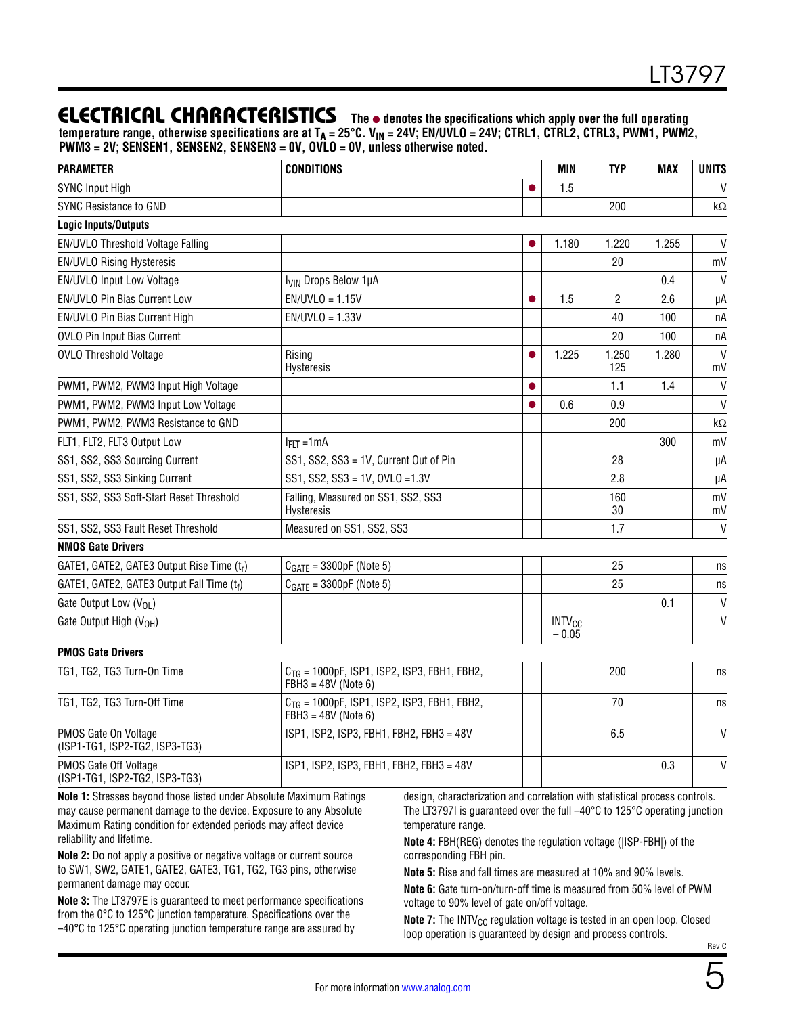### **ELECTRICAL CHARACTERISTICS** The  $\bullet$  denotes the specifications which apply over the full operating

temperature range, otherwise specifications are at T<sub>A</sub> = 25°C. V<sub>IN</sub> = 24V; EN/UVLO = 24V; CTRL1, CTRL2, CTRL3, PWM1, PWM2, **PWM3 = 2V; SENSEN1, SENSEN2, SENSEN3 = 0V, OVLO = 0V, unless otherwise noted.**

| <b>PARAMETER</b>                                        | <b>CONDITIONS</b>                                                                          |           | <b>MIN</b>                          | <b>TYP</b>   | <b>MAX</b> | <b>UNITS</b>       |
|---------------------------------------------------------|--------------------------------------------------------------------------------------------|-----------|-------------------------------------|--------------|------------|--------------------|
| <b>SYNC Input High</b>                                  |                                                                                            | $\bullet$ | 1.5                                 |              |            | V                  |
| <b>SYNC Resistance to GND</b>                           |                                                                                            |           |                                     | 200          |            | kΩ                 |
| <b>Logic Inputs/Outputs</b>                             |                                                                                            |           |                                     |              |            |                    |
| EN/UVLO Threshold Voltage Falling                       |                                                                                            |           | 1.180                               | 1.220        | 1.255      | V                  |
| <b>EN/UVLO Rising Hysteresis</b>                        |                                                                                            |           |                                     | 20           |            | mV                 |
| EN/UVLO Input Low Voltage                               | I <sub>VIN</sub> Drops Below 1µA                                                           |           |                                     |              | 0.4        | V                  |
| EN/UVLO Pin Bias Current Low                            | $EN/UVLO = 1.15V$                                                                          | $\bullet$ | 1.5                                 | $\mathbf{2}$ | 2.6        | μA                 |
| EN/UVLO Pin Bias Current High                           | $EN/UVLO = 1.33V$                                                                          |           |                                     | 40           | 100        | nA                 |
| OVLO Pin Input Bias Current                             |                                                                                            |           |                                     | 20           | 100        | пA                 |
| <b>OVLO Threshold Voltage</b>                           | Rising<br>Hysteresis                                                                       |           | 1.225                               | 1.250<br>125 | 1.280      | $\mathsf{V}$<br>mV |
| PWM1, PWM2, PWM3 Input High Voltage                     |                                                                                            |           |                                     | 1.1          | 1.4        | $\mathsf{V}$       |
| PWM1, PWM2, PWM3 Input Low Voltage                      |                                                                                            |           | 0.6                                 | 0.9          |            | $\mathsf{V}$       |
| PWM1, PWM2, PWM3 Resistance to GND                      |                                                                                            |           |                                     | 200          |            | $k\Omega$          |
| FLT1, FLT2, FLT3 Output Low                             | $I_{\overline{FLT}} = 1 \text{mA}$                                                         |           |                                     |              | 300        | mV                 |
| SS1, SS2, SS3 Sourcing Current                          | SS1, SS2, SS3 = 1V, Current Out of Pin                                                     |           |                                     | 28           |            | μA                 |
| SS1, SS2, SS3 Sinking Current                           | SS1, SS2, SS3 = 1V, OVLO = 1.3V                                                            |           |                                     | 2.8          |            | μA                 |
| SS1, SS2, SS3 Soft-Start Reset Threshold                | Falling, Measured on SS1, SS2, SS3<br>Hysteresis                                           |           |                                     | 160<br>30    |            | mV<br>mV           |
| SS1, SS2, SS3 Fault Reset Threshold                     | Measured on SS1, SS2, SS3                                                                  |           |                                     | 1.7          |            | $\mathsf{V}$       |
| <b>NMOS Gate Drivers</b>                                |                                                                                            |           |                                     |              |            |                    |
| GATE1, GATE2, GATE3 Output Rise Time (tr)               | $C_{GATE} = 3300pF$ (Note 5)                                                               |           |                                     | 25           |            | ns                 |
| GATE1, GATE2, GATE3 Output Fall Time (tf)               | $CGATE = 3300pF$ (Note 5)                                                                  |           |                                     | 25           |            | ns                 |
| Gate Output Low (V <sub>OL</sub> )                      |                                                                                            |           |                                     |              | 0.1        | $\mathsf{V}$       |
| Gate Output High (V <sub>OH</sub> )                     |                                                                                            |           | <b>INTV<sub>CC</sub></b><br>$-0.05$ |              |            | $\mathsf{V}$       |
| <b>PMOS Gate Drivers</b>                                |                                                                                            |           |                                     |              |            |                    |
| TG1, TG2, TG3 Turn-On Time                              | $C_{TG}$ = 1000pF, ISP1, ISP2, ISP3, FBH1, FBH2,<br>$FBH3 = 48V$ (Note 6)                  |           |                                     | 200          |            | ns                 |
| TG1, TG2, TG3 Turn-Off Time                             | $C_{TG}$ = 1000pF, ISP1, ISP2, ISP3, FBH1, FBH2,<br>$\overrightarrow{FBH3}$ = 48V (Note 6) |           |                                     | 70           |            | ns                 |
| PMOS Gate On Voltage<br>(ISP1-TG1, ISP2-TG2, ISP3-TG3)  | ISP1, ISP2, ISP3, FBH1, FBH2, FBH3 = 48V                                                   |           |                                     | 6.5          |            | V                  |
| PMOS Gate Off Voltage<br>(ISP1-TG1, ISP2-TG2, ISP3-TG3) | ISP1, ISP2, ISP3, FBH1, FBH2, FBH3 = 48V                                                   |           |                                     |              | 0.3        | V                  |

**Note 1:** Stresses beyond those listed under Absolute Maximum Ratings may cause permanent damage to the device. Exposure to any Absolute Maximum Rating condition for extended periods may affect device reliability and lifetime.

**Note 2:** Do not apply a positive or negative voltage or current source to SW1, SW2, GATE1, GATE2, GATE3, TG1, TG2, TG3 pins, otherwise permanent damage may occur.

**Note 3:** The LT3797E is guaranteed to meet performance specifications from the 0°C to 125°C junction temperature. Specifications over the –40°C to 125°C operating junction temperature range are assured by

design, characterization and correlation with statistical process controls. The LT3797I is guaranteed over the full –40°C to 125°C operating junction temperature range.

**Note 4:** FBH(REG) denotes the regulation voltage (|ISP-FBH|) of the corresponding FBH pin.

**Note 5:** Rise and fall times are measured at 10% and 90% levels.

**Note 6:** Gate turn-on/turn-off time is measured from 50% level of PWM voltage to 90% level of gate on/off voltage.

**Note 7:** The INTV<sub>CC</sub> regulation voltage is tested in an open loop. Closed loop operation is guaranteed by design and process controls.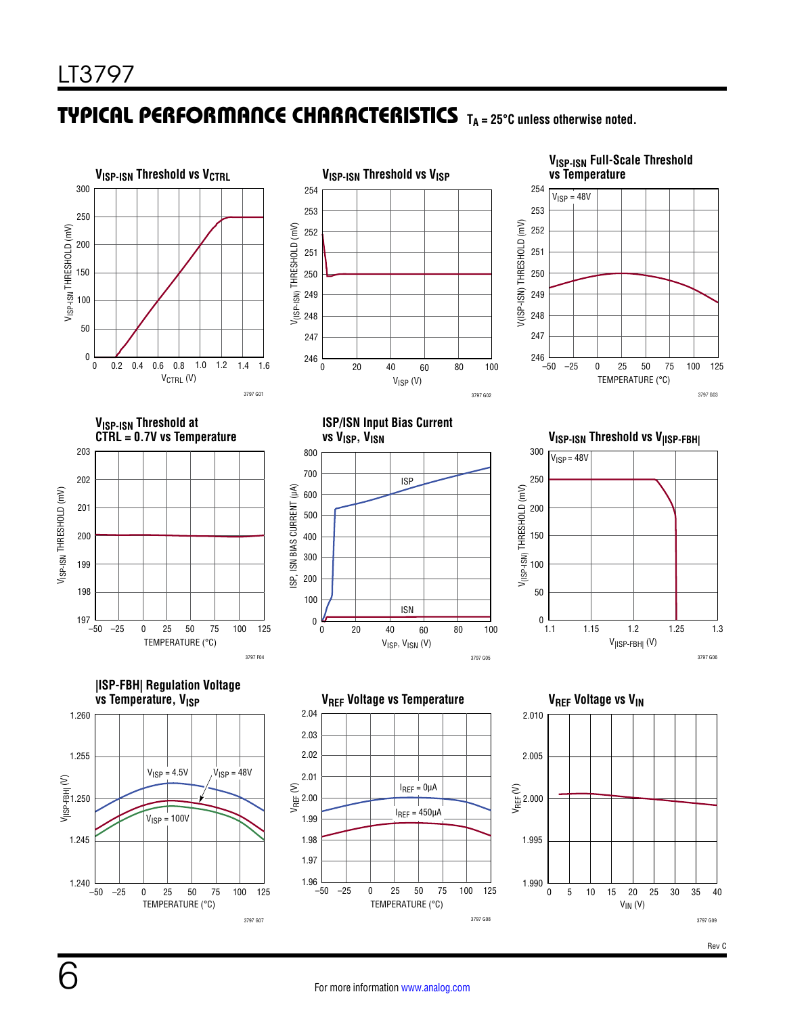### TYPICAL PERFORMANCE CHARACTERISTICS TA = 25°C unless otherwise noted.

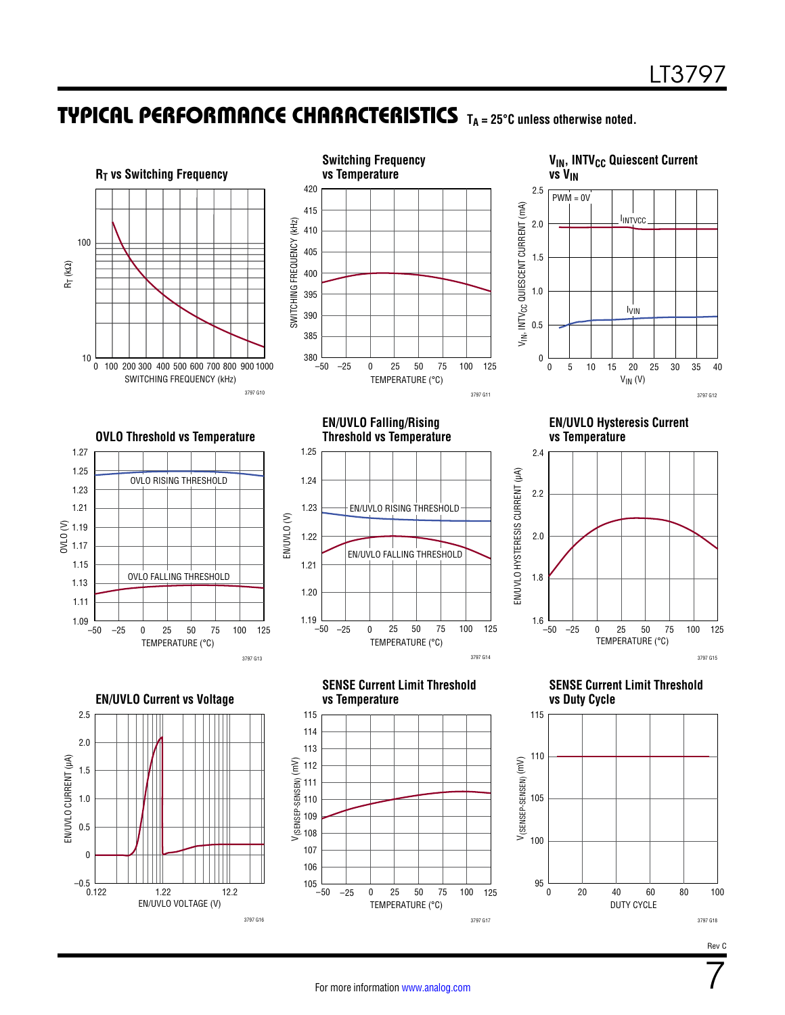### **TYPICAL PERFORMANCE CHARACTERISTICS** TA = 25°C unless otherwise noted.



7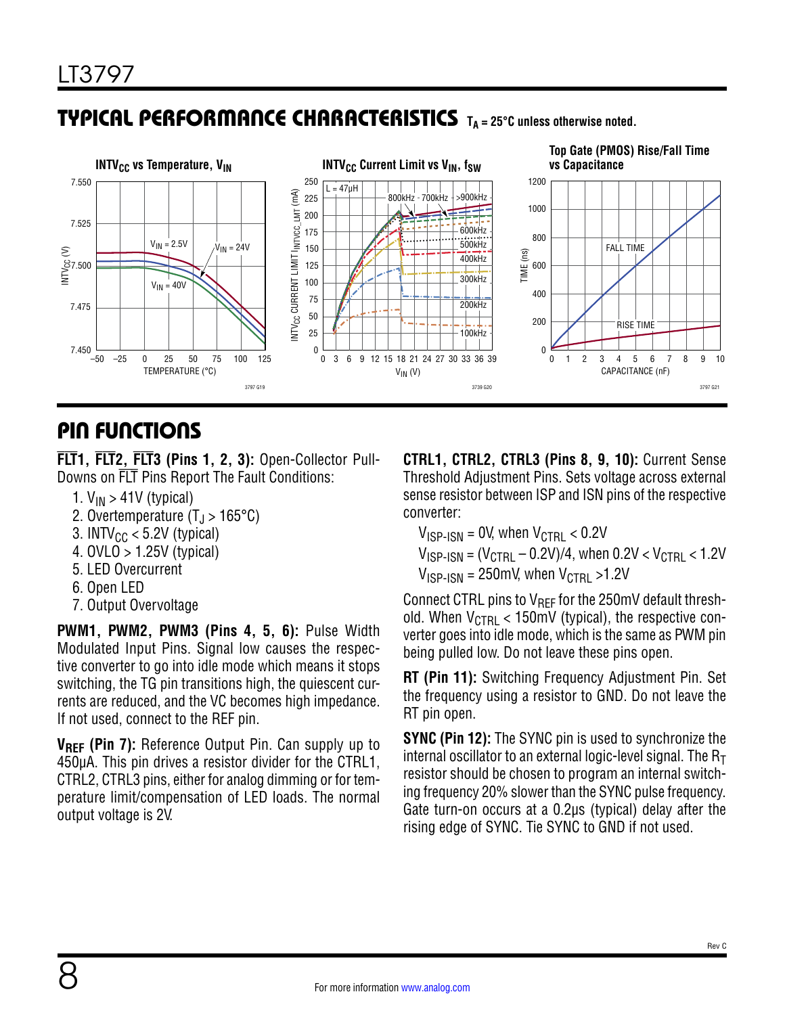### **TYPICAL PERFORMANCE CHARACTERISTICS** TA = 25°C unless otherwise noted.



### PIN FUNCTIONS

**FLT1, FLT2, FLT3 (Pins 1, 2, 3):** Open-Collector Pull-Downs on FLT Pins Report The Fault Conditions:

- 1.  $V_{IN}$  > 41V (typical)
- 2. Overtemperature  $(T_{\rm J} > 165^{\circ} \text{C})$
- 3. INTV $_{CC}$  < 5.2V (typical)
- 4. OVLO > 1.25V (typical)
- 5. LED Overcurrent
- 6. Open LED
- 7. Output Overvoltage

**PWM1, PWM2, PWM3 (Pins 4, 5, 6):** Pulse Width Modulated Input Pins. Signal low causes the respective converter to go into idle mode which means it stops switching, the TG pin transitions high, the quiescent currents are reduced, and the VC becomes high impedance. If not used, connect to the REF pin.

**VREF (Pin 7):** Reference Output Pin. Can supply up to 450µA. This pin drives a resistor divider for the CTRL1, CTRL2, CTRL3 pins, either for analog dimming or for temperature limit/compensation of LED loads. The normal output voltage is 2V.

**CTRL1, CTRL2, CTRL3 (Pins 8, 9, 10):** Current Sense Threshold Adjustment Pins. Sets voltage across external sense resistor between ISP and ISN pins of the respective converter:

 $V_{\text{ISP-ISM}} = 0$ V, when  $V_{\text{CTRL}} < 0.2$ V  $V_{\text{ISP-SN}} = (V_{\text{CTR}} - 0.2V)/4$ , when  $0.2V < V_{\text{CTR}} < 1.2V$  $V_{\text{ISP-ISM}} = 250 \text{mV}$ , when  $V_{\text{CTRI}} > 1.2 \text{V}$ 

Connect CTRL pins to  $V_{\text{RFF}}$  for the 250mV default threshold. When  $V_{\text{CTRI}} < 150 \text{mV}$  (typical), the respective converter goes into idle mode, which is the same as PWM pin being pulled low. Do not leave these pins open.

**RT (Pin 11):** Switching Frequency Adjustment Pin. Set the frequency using a resistor to GND. Do not leave the RT pin open.

**SYNC (Pin 12):** The SYNC pin is used to synchronize the internal oscillator to an external logic-level signal. The  $R<sub>T</sub>$ resistor should be chosen to program an internal switching frequency 20% slower than the SYNC pulse frequency. Gate turn-on occurs at a 0.2µs (typical) delay after the rising edge of SYNC. Tie SYNC to GND if not used.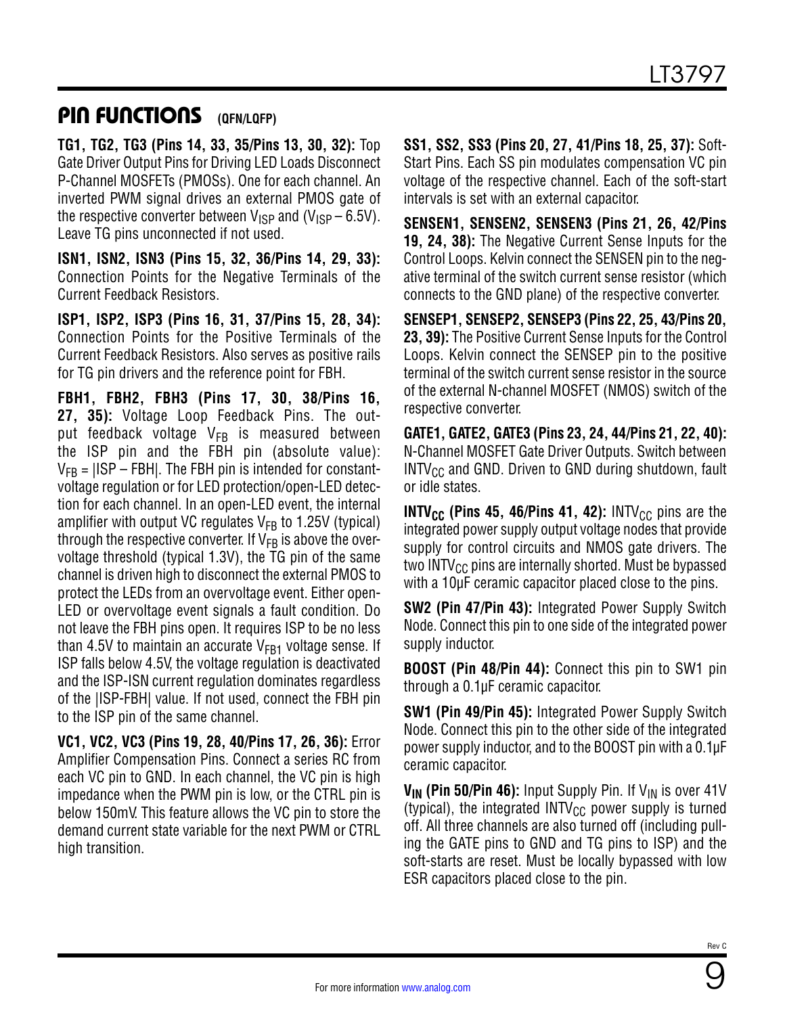### **PIN FUNCTIONS** (QFN/LQFP)

**TG1, TG2, TG3 (Pins 14, 33, 35/Pins 13, 30, 32):** Top Gate Driver Output Pins for Driving LED Loads Disconnect P-Channel MOSFETs (PMOSs). One for each channel. An inverted PWM signal drives an external PMOS gate of the respective converter between  $V_{\text{ISP}}$  and (V<sub>ISP</sub> – 6.5V). Leave TG pins unconnected if not used.

**ISN1, ISN2, ISN3 (Pins 15, 32, 36/Pins 14, 29, 33):** Connection Points for the Negative Terminals of the Current Feedback Resistors.

**ISP1, ISP2, ISP3 (Pins 16, 31, 37/Pins 15, 28, 34):** Connection Points for the Positive Terminals of the Current Feedback Resistors. Also serves as positive rails for TG pin drivers and the reference point for FBH.

**FBH1, FBH2, FBH3 (Pins 17, 30, 38/Pins 16, 27, 35):** Voltage Loop Feedback Pins. The output feedback voltage  $V_{FB}$  is measured between the ISP pin and the FBH pin (absolute value):  $V_{FB}$  =  $|ISP - FBH|$ . The FBH pin is intended for constantvoltage regulation or for LED protection/open-LED detection for each channel. In an open-LED event, the internal amplifier with output VC regulates  $V_{FB}$  to 1.25V (typical) through the respective converter. If  $V_{FB}$  is above the overvoltage threshold (typical 1.3V), the TG pin of the same channel is driven high to disconnect the external PMOS to protect the LEDs from an overvoltage event. Either open-LED or overvoltage event signals a fault condition. Do not leave the FBH pins open. It requires ISP to be no less than 4.5V to maintain an accurate  $V_{FB1}$  voltage sense. If ISP falls below 4.5V, the voltage regulation is deactivated and the ISP-ISN current regulation dominates regardless of the |ISP-FBH| value. If not used, connect the FBH pin to the ISP pin of the same channel.

**VC1, VC2, VC3 (Pins 19, 28, 40/Pins 17, 26, 36):** Error Amplifier Compensation Pins. Connect a series RC from each VC pin to GND. In each channel, the VC pin is high impedance when the PWM pin is low, or the CTRL pin is below 150mV. This feature allows the VC pin to store the demand current state variable for the next PWM or CTRL high transition.

**SS1, SS2, SS3 (Pins 20, 27, 41/Pins 18, 25, 37):** Soft-Start Pins. Each SS pin modulates compensation VC pin voltage of the respective channel. Each of the soft-start intervals is set with an external capacitor.

**SENSEN1, SENSEN2, SENSEN3 (Pins 21, 26, 42/Pins 19, 24, 38):** The Negative Current Sense Inputs for the Control Loops. Kelvin connect the SENSEN pin to the negative terminal of the switch current sense resistor (which connects to the GND plane) of the respective converter.

**SENSEP1, SENSEP2, SENSEP3 (Pins 22, 25, 43/Pins 20, 23, 39):** The Positive Current Sense Inputs for the Control Loops. Kelvin connect the SENSEP pin to the positive terminal of the switch current sense resistor in the source of the external N-channel MOSFET (NMOS) switch of the respective converter.

**GATE1, GATE2, GATE3 (Pins 23, 24, 44/Pins 21, 22, 40):** N-Channel MOSFET Gate Driver Outputs. Switch between  $INTV_{CC}$  and GND. Driven to GND during shutdown, fault or idle states.

**INTV<sub>CC</sub>** (Pins 45, 46/Pins 41, 42): INTV<sub>CC</sub> pins are the integrated power supply output voltage nodes that provide supply for control circuits and NMOS gate drivers. The two INTV $_{\rm CC}$  pins are internally shorted. Must be bypassed with a 10µF ceramic capacitor placed close to the pins.

**SW2 (Pin 47/Pin 43):** Integrated Power Supply Switch Node. Connect this pin to one side of the integrated power supply inductor.

**BOOST (Pin 48/Pin 44):** Connect this pin to SW1 pin through a 0.1µF ceramic capacitor.

**SW1 (Pin 49/Pin 45):** Integrated Power Supply Switch Node. Connect this pin to the other side of the integrated power supply inductor, and to the BOOST pin with a 0.1µF ceramic capacitor.

**V<sub>IN</sub>** (Pin 50/Pin 46): Input Supply Pin. If V<sub>IN</sub> is over 41V (typical), the integrated  $INTV_{CC}$  power supply is turned off. All three channels are also turned off (including pulling the GATE pins to GND and TG pins to ISP) and the soft-starts are reset. Must be locally bypassed with low ESR capacitors placed close to the pin.

9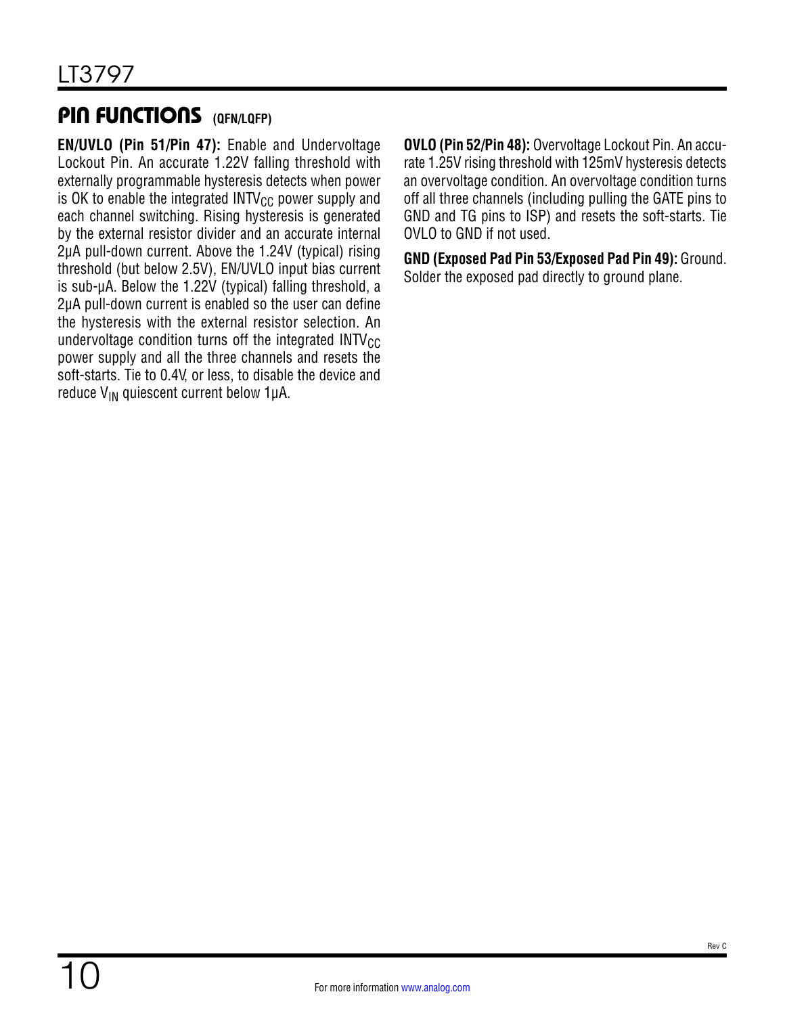### PIN FUNCTIONS **(QFN/LQFP)**

**EN/UVLO (Pin 51/Pin 47):** Enable and Undervoltage Lockout Pin. An accurate 1.22V falling threshold with externally programmable hysteresis detects when power is OK to enable the integrated  $INTV_{CC}$  power supply and each channel switching. Rising hysteresis is generated by the external resistor divider and an accurate internal 2μA pull-down current. Above the 1.24V (typical) rising threshold (but below 2.5V), EN/UVLO input bias current is sub-μA. Below the 1.22V (typical) falling threshold, a 2μA pull-down current is enabled so the user can define the hysteresis with the external resistor selection. An undervoltage condition turns off the integrated  $INTV_{CC}$ power supply and all the three channels and resets the soft-starts. Tie to 0.4V, or less, to disable the device and reduce V<sub>IN</sub> quiescent current below 1μA.

**OVLO (Pin 52/Pin 48):** Overvoltage Lockout Pin. An accurate 1.25V rising threshold with 125mV hysteresis detects an overvoltage condition. An overvoltage condition turns off all three channels (including pulling the GATE pins to GND and TG pins to ISP) and resets the soft-starts. Tie OVLO to GND if not used.

**GND (Exposed Pad Pin 53/Exposed Pad Pin 49):** Ground. Solder the exposed pad directly to ground plane.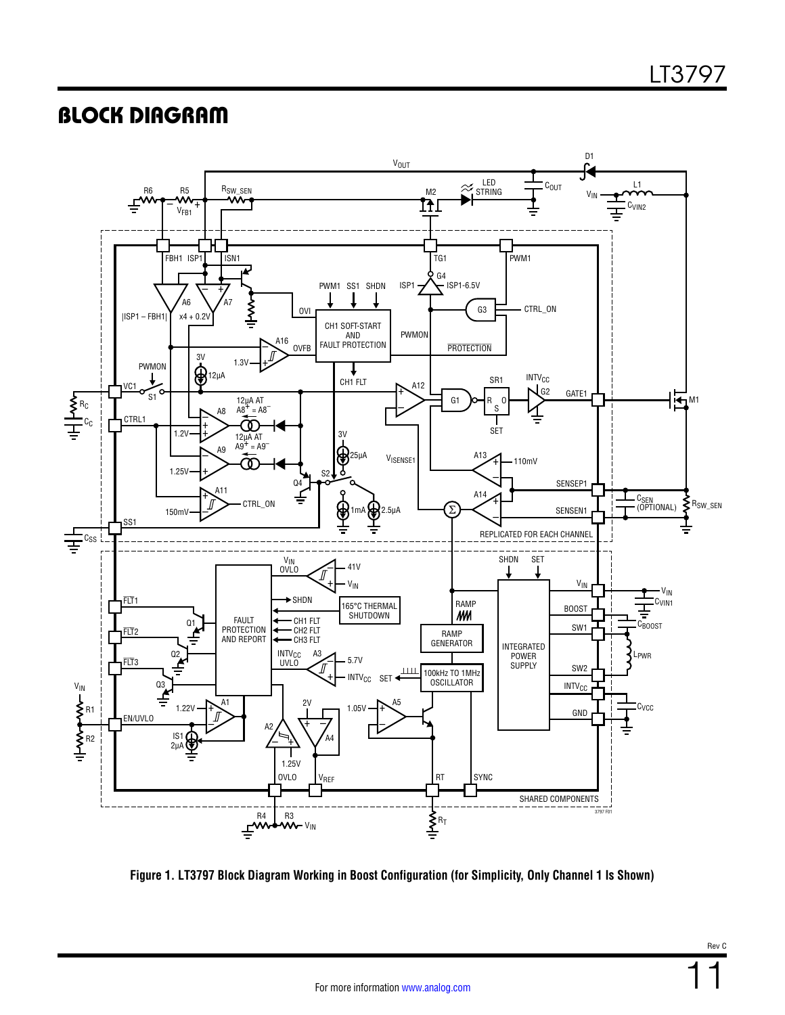### <span id="page-10-0"></span>BLOCK DIAGRAM



<span id="page-10-1"></span>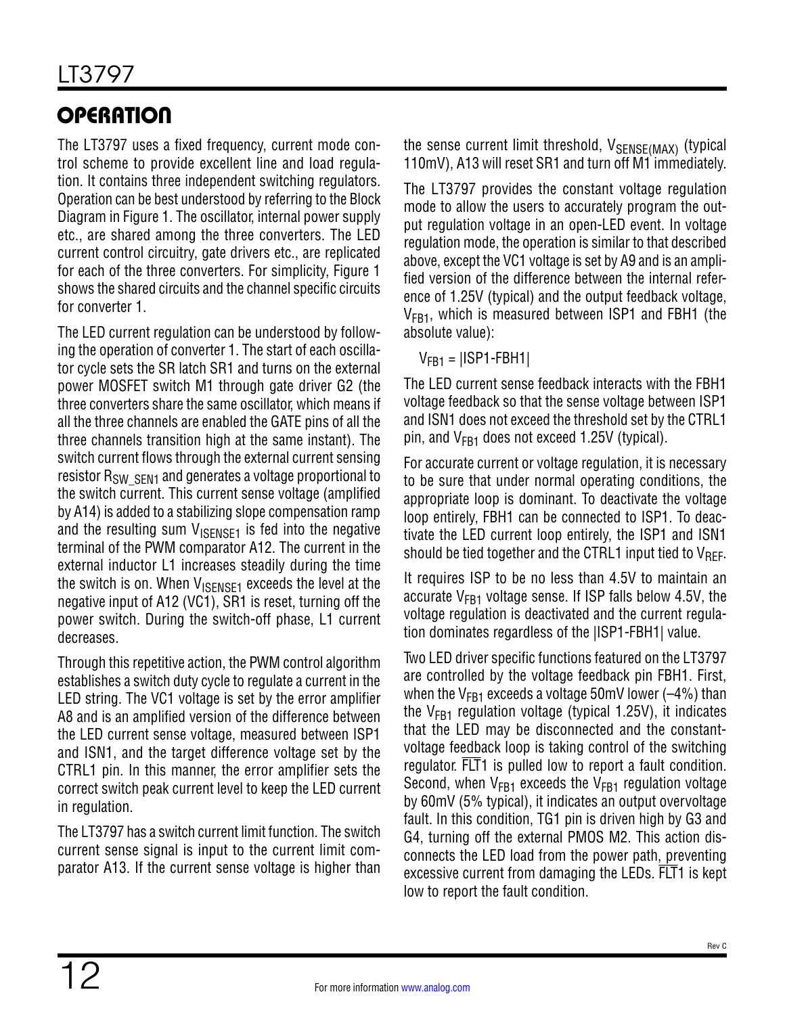# **OPERATION**

The LT3797 uses a fixed frequency, current mode control scheme to provide excellent line and load regulation. It contains three independent switching regulators. Operation can be best understood by referring to the [Block](#page-10-0) [Diagram](#page-10-0) in [Figure 1](#page-10-1). The oscillator, internal power supply etc., are shared among the three converters. The LED current control circuitry, gate drivers etc., are replicated for each of the three converters. For simplicity, [Figure 1](#page-10-1)  shows the shared circuits and the channel specific circuits for converter 1.

The LED current regulation can be understood by following the operation of converter 1. The start of each oscillator cycle sets the SR latch SR1 and turns on the external power MOSFET switch M1 through gate driver G2 (the three converters share the same oscillator, which means if all the three channels are enabled the GATE pins of all the three channels transition high at the same instant). The switch current flows through the external current sensing resistor R<sub>SW</sub> SFN<sub>1</sub> and generates a voltage proportional to the switch current. This current sense voltage (amplified by A14) is added to a stabilizing slope compensation ramp and the resulting sum  $V_{\text{ISENSE1}}$  is fed into the negative terminal of the PWM comparator A12. The current in the external inductor L1 increases steadily during the time the switch is on. When  $V_{\text{ISFNSF1}}$  exceeds the level at the negative input of A12 (VC1), SR1 is reset, turning off the power switch. During the switch-off phase, L1 current decreases.

Through this repetitive action, the PWM control algorithm establishes a switch duty cycle to regulate a current in the LED string. The VC1 voltage is set by the error amplifier A8 and is an amplified version of the difference between the LED current sense voltage, measured between ISP1 and ISN1, and the target difference voltage set by the CTRL1 pin. In this manner, the error amplifier sets the correct switch peak current level to keep the LED current in regulation.

The LT3797 has a switch current limit function. The switch current sense signal is input to the current limit comparator A13. If the current sense voltage is higher than the sense current limit threshold,  $V_{\text{SENSE}(\text{MAX})}$  (typical 110mV), A13 will reset SR1 and turn off M1 immediately.

The LT3797 provides the constant voltage regulation mode to allow the users to accurately program the output regulation voltage in an open-LED event. In voltage regulation mode, the operation is similar to that described above, except the VC1 voltage is set by A9 and is an amplified version of the difference between the internal reference of 1.25V (typical) and the output feedback voltage,  $V_{FR1}$ , which is measured between ISP1 and FBH1 (the absolute value):

 $V<sub>FR1</sub> = |ISP1-FBH1|$ 

The LED current sense feedback interacts with the FBH1 voltage feedback so that the sense voltage between ISP1 and ISN1 does not exceed the threshold set by the CTRL1 pin, and  $V_{FR1}$  does not exceed 1.25V (typical).

For accurate current or voltage regulation, it is necessary to be sure that under normal operating conditions, the appropriate loop is dominant. To deactivate the voltage loop entirely, FBH1 can be connected to ISP1. To deactivate the LED current loop entirely, the ISP1 and ISN1 should be tied together and the CTRL1 input tied to  $V_{\text{RFF}}$ .

It requires ISP to be no less than 4.5V to maintain an accurate  $V_{FB1}$  voltage sense. If ISP falls below 4.5V, the voltage regulation is deactivated and the current regulation dominates regardless of the |ISP1-FBH1| value.

Two LED driver specific functions featured on the LT3797 are controlled by the voltage feedback pin FBH1. First, when the  $V_{FB1}$  exceeds a voltage 50mV lower (-4%) than the  $V_{FB1}$  regulation voltage (typical 1.25V), it indicates that the LED may be disconnected and the constantvoltage feedback loop is taking control of the switching regulator. FLT1 is pulled low to report a fault condition. Second, when  $V_{FA1}$  exceeds the  $V_{FA1}$  regulation voltage by 60mV (5% typical), it indicates an output overvoltage fault. In this condition, TG1 pin is driven high by G3 and G4, turning off the external PMOS M2. This action disconnects the LED load from the power path, preventing excessive current from damaging the LEDs. FLT1 is kept low to report the fault condition.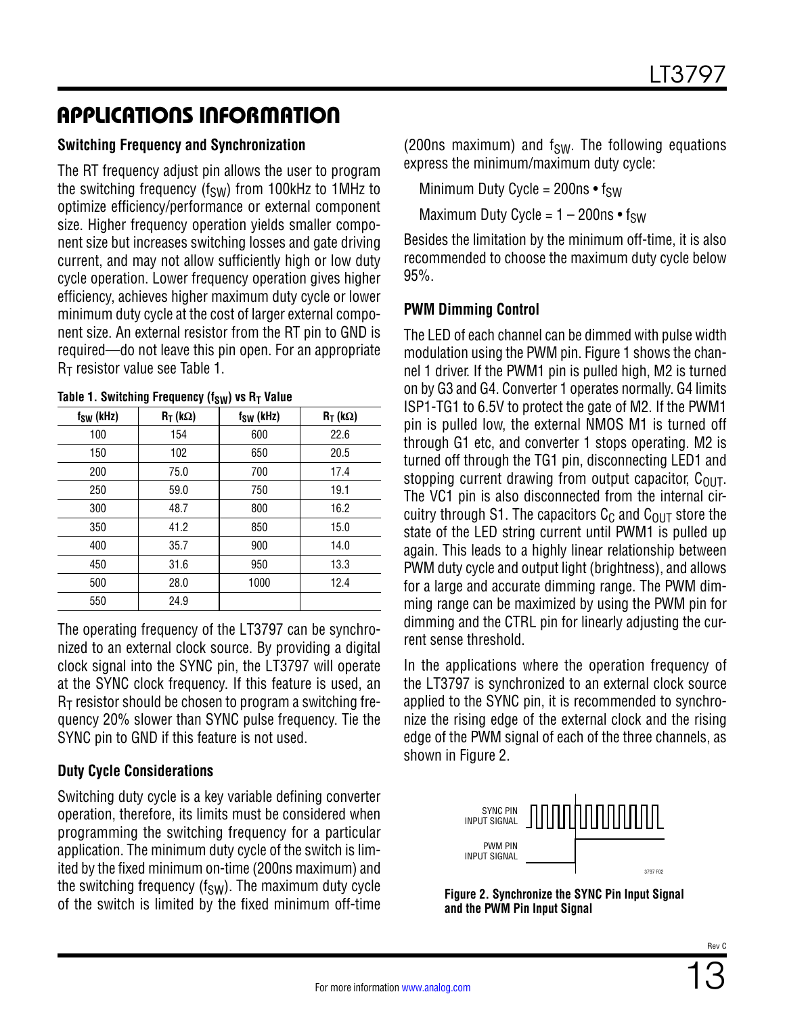#### **Switching Frequency and Synchronization**

The RT frequency adjust pin allows the user to program the switching frequency ( $f_{SW}$ ) from 100kHz to 1MHz to optimize efficiency/performance or external component size. Higher frequency operation yields smaller component size but increases switching losses and gate driving current, and may not allow sufficiently high or low duty cycle operation. Lower frequency operation gives higher efficiency, achieves higher maximum duty cycle or lower minimum duty cycle at the cost of larger external component size. An external resistor from the RT pin to GND is required—do not leave this pin open. For an appropriate  $R<sub>T</sub>$  resistor value see [Table 1](#page-12-0).

| $f_{SW}$ (kHz) | $R_T$ (kΩ) | $f_{SW}$ (kHz) | $R_T$ (kΩ) |
|----------------|------------|----------------|------------|
| 100            | 154        | 600            | 22.6       |
| 150            | 102        | 650            | 20.5       |
| 200            | 75.0       | 700            | 17.4       |
| 250            | 59.0       | 750            | 19.1       |
| 300            | 48.7       | 800            | 16.2       |
| 350            | 41.2       | 850            | 15.0       |
| 400            | 35.7       | 900            | 14.0       |
| 450            | 31.6       | 950            | 13.3       |
| 500            | 28.0       | 1000           | 12.4       |
| 550            | 24.9       |                |            |

<span id="page-12-0"></span>

| Table 1. Switching Frequency ( $f_{SW}$ ) vs $R_T$ Value |  |  |  |
|----------------------------------------------------------|--|--|--|
|----------------------------------------------------------|--|--|--|

The operating frequency of the LT3797 can be synchronized to an external clock source. By providing a digital clock signal into the SYNC pin, the LT3797 will operate at the SYNC clock frequency. If this feature is used, an  $R<sub>T</sub>$  resistor should be chosen to program a switching frequency 20% slower than SYNC pulse frequency. Tie the SYNC pin to GND if this feature is not used.

#### **Duty Cycle Considerations**

Switching duty cycle is a key variable defining converter operation, therefore, its limits must be considered when programming the switching frequency for a particular application. The minimum duty cycle of the switch is limited by the fixed minimum on-time (200ns maximum) and the switching frequency  $(f_{SW})$ . The maximum duty cycle of the switch is limited by the fixed minimum off-time

(200ns maximum) and  $f_{SW}$ . The following equations express the minimum/maximum duty cycle:

Minimum Duty Cycle =  $200ns \cdot f_{SW}$ 

Maximum Duty Cycle =  $1 - 200$ ns • f<sub>SW</sub>

Besides the limitation by the minimum off-time, it is also recommended to choose the maximum duty cycle below 95%.

#### **PWM Dimming Control**

The LED of each channel can be dimmed with pulse width modulation using the PWM pin. [Figure 1](#page-10-1) shows the channel 1 driver. If the PWM1 pin is pulled high, M2 is turned on by G3 and G4. Converter 1 operates normally. G4 limits ISP1-TG1 to 6.5V to protect the gate of M2. If the PWM1 pin is pulled low, the external NMOS M1 is turned off through G1 etc, and converter 1 stops operating. M2 is turned off through the TG1 pin, disconnecting LED1 and stopping current drawing from output capacitor,  $C_{\text{OUT}}$ . The VC1 pin is also disconnected from the internal circuitry through S1. The capacitors  $C_{\Omega}$  and  $C_{\Omega I}$  store the state of the LED string current until PWM1 is pulled up again. This leads to a highly linear relationship between PWM duty cycle and output light (brightness), and allows for a large and accurate dimming range. The PWM dimming range can be maximized by using the PWM pin for dimming and the CTRL pin for linearly adjusting the current sense threshold.

In the applications where the operation frequency of the LT3797 is synchronized to an external clock source applied to the SYNC pin, it is recommended to synchronize the rising edge of the external clock and the rising edge of the PWM signal of each of the three channels, as shown in [Figure 2](#page-12-1).



<span id="page-12-1"></span>**Figure 2. Synchronize the SYNC Pin Input Signal and the PWM Pin Input Signal**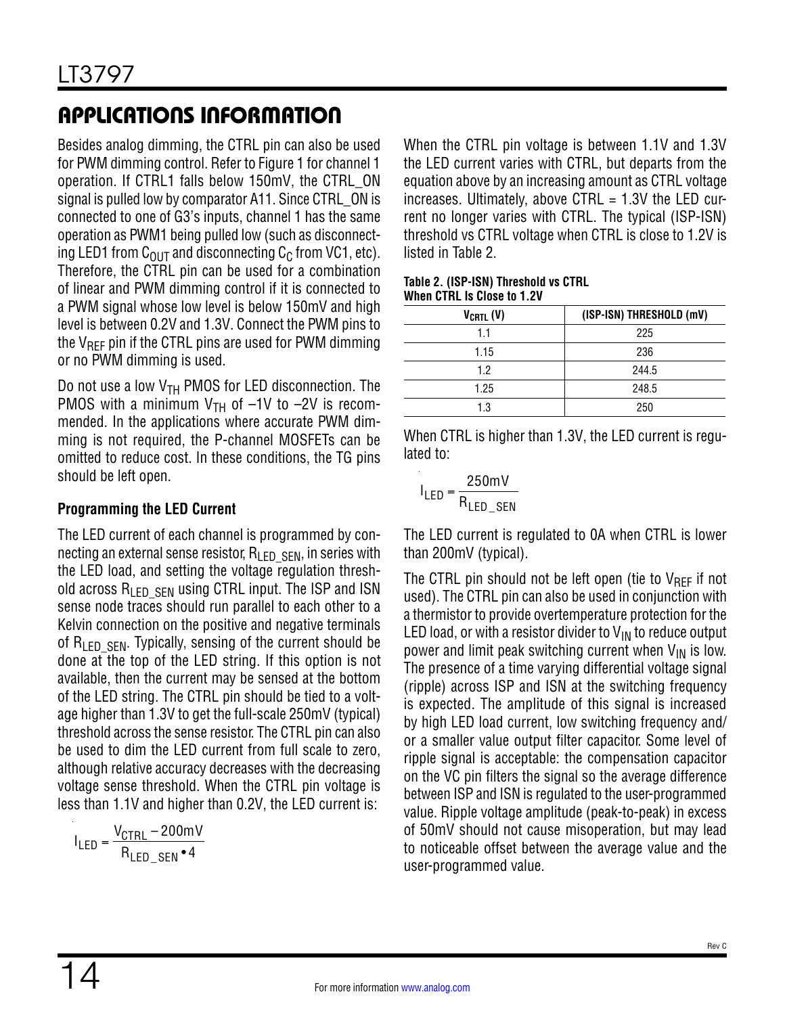Besides analog dimming, the CTRL pin can also be used for PWM dimming control. Refer to [Figure 1](#page-10-1) for channel 1 operation. If CTRL1 falls below 150mV, the CTRL\_ON signal is pulled low by comparator A11. Since CTRL ON is connected to one of G3's inputs, channel 1 has the same operation as PWM1 being pulled low (such as disconnecting LED1 from  $C_{\text{OUT}}$  and disconnecting  $C_{\text{C}}$  from VC1, etc). Therefore, the CTRL pin can be used for a combination of linear and PWM dimming control if it is connected to a PWM signal whose low level is below 150mV and high level is between 0.2V and 1.3V. Connect the PWM pins to the  $V_{\text{RFF}}$  pin if the CTRL pins are used for PWM dimming or no PWM dimming is used.

Do not use a low  $V<sub>TH</sub>$  PMOS for LED disconnection. The PMOS with a minimum  $V_{TH}$  of  $-1V$  to  $-2V$  is recommended. In the applications where accurate PWM dimming is not required, the P-channel MOSFETs can be omitted to reduce cost. In these conditions, the TG pins should be left open.

#### **Programming the LED Current**

The LED current of each channel is programmed by connecting an external sense resistor,  $R_{\text{LED}}$  s<sub>EN</sub>, in series with the LED load, and setting the voltage regulation threshold across  $R_{\text{LED}}$  s<sub>FN</sub> using CTRL input. The ISP and ISN sense node traces should run parallel to each other to a Kelvin connection on the positive and negative terminals of  $R_{\text{LED}}$  sen. Typically, sensing of the current should be done at the top of the LED string. If this option is not available, then the current may be sensed at the bottom of the LED string. The CTRL pin should be tied to a voltage higher than 1.3V to get the full-scale 250mV (typical) threshold across the sense resistor. The CTRL pin can also be used to dim the LED current from full scale to zero, although relative accuracy decreases with the decreasing voltage sense threshold. When the CTRL pin voltage is less than 1.1V and higher than 0.2V, the LED current is:

$$
I_{LED} = \frac{V_{CTRL} - 200 \text{mV}}{R_{LED\_SEN} \cdot 4}
$$

When the CTRL pin voltage is between 1.1V and 1.3V the LED current varies with CTRL, but departs from the equation above by an increasing amount as CTRL voltage increases. Ultimately, above CTRL = 1.3V the LED current no longer varies with CTRL. The typical (ISP-ISN) threshold vs CTRL voltage when CTRL is close to 1.2V is listed in [Table 2.](#page-13-0)

#### <span id="page-13-0"></span>**Table 2. (ISP-ISN) Threshold vs CTRL When CTRL Is Close to 1.2V**

| $V_{CRTL}$ (V) | (ISP-ISN) THRESHOLD (mV) |
|----------------|--------------------------|
| 1.1            | 225                      |
| 1.15           | 236                      |
| 1.2            | 244.5                    |
| 1.25           | 248.5                    |
| 1.3            | 250                      |

When CTRL is higher than 1.3V, the LED current is regulated to:

$$
I_{LED} = \frac{250 \text{mV}}{R_{LED\_SEN}}
$$

The LED current is regulated to 0A when CTRL is lower than 200mV (typical).

The CTRL pin should not be left open (tie to  $V_{\text{RFF}}$  if not used). The CTRL pin can also be used in conjunction with a thermistor to provide overtemperature protection for the LED load, or with a resistor divider to  $V_{IN}$  to reduce output power and limit peak switching current when  $V_{IN}$  is low. The presence of a time varying differential voltage signal (ripple) across ISP and ISN at the switching frequency is expected. The amplitude of this signal is increased by high LED load current, low switching frequency and/ or a smaller value output filter capacitor. Some level of ripple signal is acceptable: the compensation capacitor on the VC pin filters the signal so the average difference between ISP and ISN is regulated to the user-programmed value. Ripple voltage amplitude (peak-to-peak) in excess of 50mV should not cause misoperation, but may lead to noticeable offset between the average value and the user-programmed value.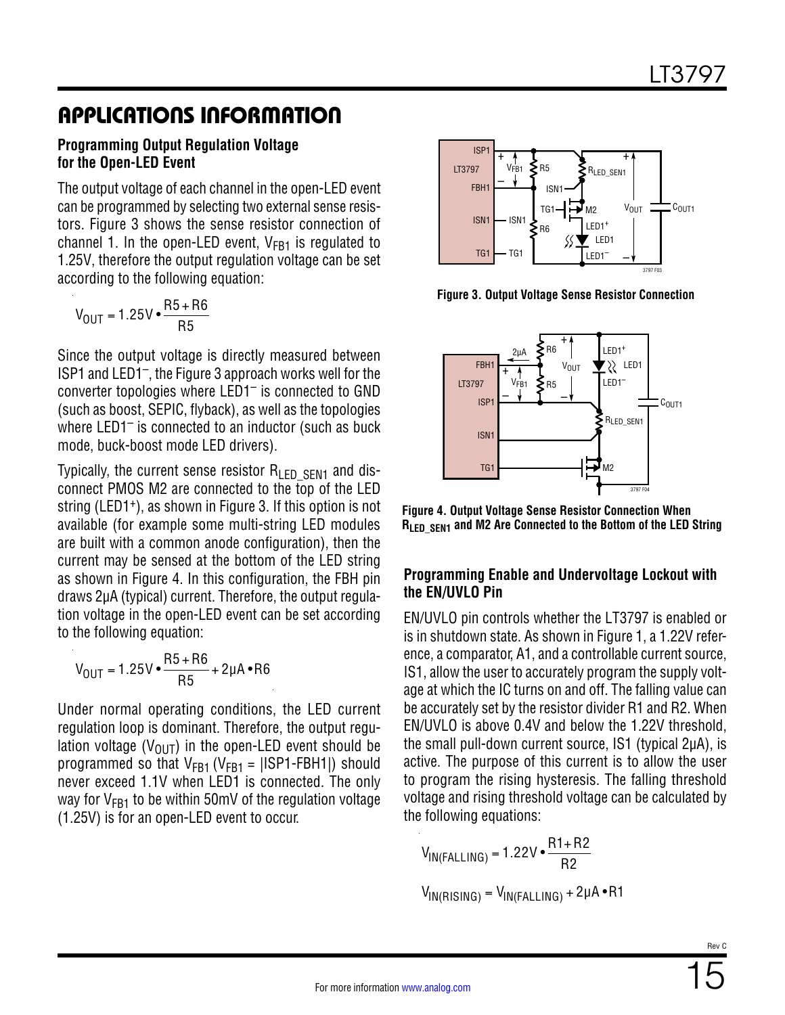#### **Programming Output Regulation Voltage for the Open-LED Event**

The output voltage of each channel in the open-LED event can be programmed by selecting two external sense resistors. [Figure 3](#page-14-0) shows the sense resistor connection of channel 1. In the open-LED event,  $V_{FB1}$  is regulated to 1.25V, therefore the output regulation voltage can be set according to the following equation:

$$
V_{OUT} = 1.25V \cdot \frac{R5 + R6}{R5}
$$

Since the output voltage is directly measured between ISP1 and LED1–, the [Figure 3](#page-14-0) approach works well for the converter topologies where LED1– is connected to GND (such as boost, SEPIC, flyback), as well as the topologies where LED1<sup>-</sup> is connected to an inductor (such as buck mode, buck-boost mode LED drivers).

Typically, the current sense resistor  $R_{\text{F}}$   $_{\text{E}}$   $_{\text{E}}$  and disconnect PMOS M2 are connected to the top of the LED string (LED1<sup>+</sup>), as shown in [Figure 3.](#page-14-0) If this option is not available (for example some multi-string LED modules are built with a common anode configuration), then the current may be sensed at the bottom of the LED string as shown in [Figure 4](#page-14-1). In this configuration, the FBH pin draws 2µA (typical) current. Therefore, the output regulation voltage in the open-LED event can be set according to the following equation:

$$
V_{OUT} = 1.25V \cdot \frac{R5 + R6}{R5} + 2\mu A \cdot R6
$$

Under normal operating conditions, the LED current regulation loop is dominant. Therefore, the output regulation voltage ( $V_{\text{OUT}}$ ) in the open-LED event should be programmed so that  $V_{FB1}$  (V<sub>FB1</sub> = |ISP1-FBH1|) should never exceed 1.1V when LED1 is connected. The only way for  $V_{FB1}$  to be within 50mV of the regulation voltage (1.25V) is for an open-LED event to occur.



<span id="page-14-0"></span>**Figure 3. Output Voltage Sense Resistor Connection**



<span id="page-14-1"></span>**Figure 4. Output Voltage Sense Resistor Connection When RLED\_SEN1 and M2 Are Connected to the Bottom of the LED String**

#### **Programming Enable and Undervoltage Lockout with the EN/UVLO Pin**

EN/UVLO pin controls whether the LT3797 is enabled or is in shutdown state. As shown in [Figure 1,](#page-10-1) a 1.22V reference, a comparator, A1, and a controllable current source, IS1, allow the user to accurately program the supply voltage at which the IC turns on and off. The falling value can be accurately set by the resistor divider R1 and R2. When EN/UVLO is above 0.4V and below the 1.22V threshold, the small pull-down current source, IS1 (typical 2µA), is active. The purpose of this current is to allow the user to program the rising hysteresis. The falling threshold voltage and rising threshold voltage can be calculated by the following equations:

 $V_{\text{IN}(\text{FALLING})} = 1.22 \text{V} \cdot \frac{\text{R1} + \text{R2}}{\text{R2}}$ 

$$
V_{IN(RISING)} = V_{IN(FALLING)} + 2\mu A \cdot R1
$$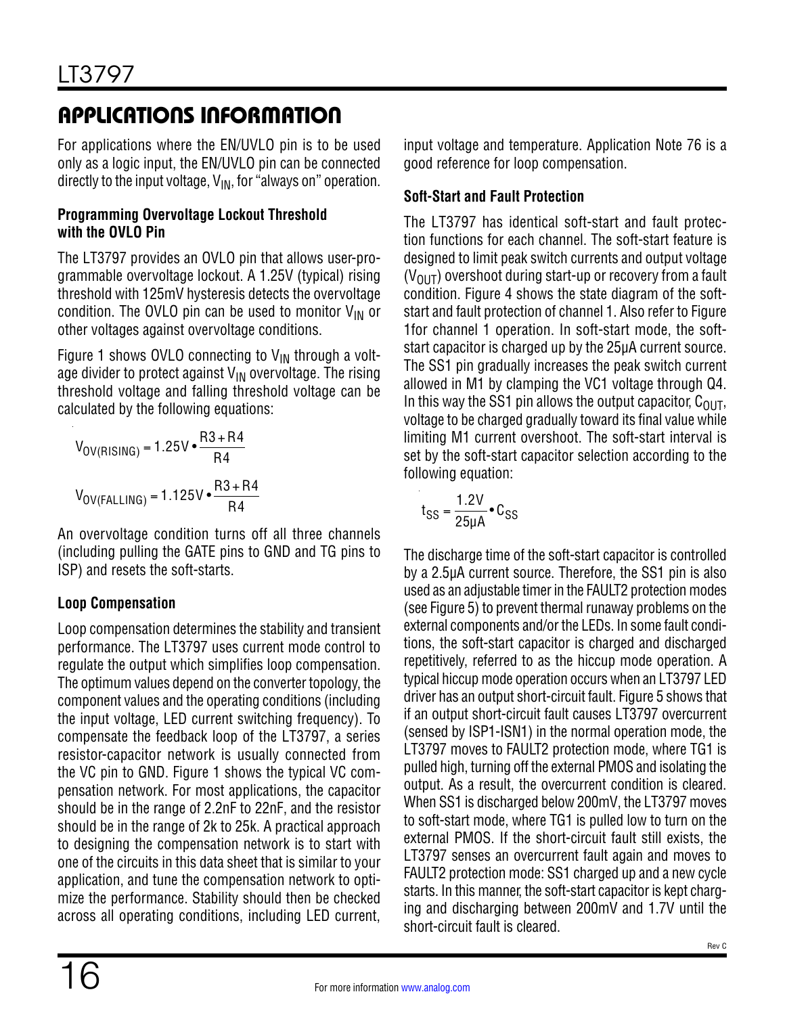For applications where the EN/UVLO pin is to be used only as a logic input, the EN/UVLO pin can be connected directly to the input voltage,  $V_{IN}$ , for "always on" operation.

#### **Programming Overvoltage Lockout Threshold with the OVLO Pin**

The LT3797 provides an OVLO pin that allows user-programmable overvoltage lockout. A 1.25V (typical) rising threshold with 125mV hysteresis detects the overvoltage condition. The OVLO pin can be used to monitor  $V_{IN}$  or other voltages against overvoltage conditions.

[Figure 1](#page-10-1) shows OVLO connecting to  $V_{IN}$  through a voltage divider to protect against  $V_{IN}$  overvoltage. The rising threshold voltage and falling threshold voltage can be calculated by the following equations:

$$
V_{OV(RISING)} = 1.25V \cdot \frac{R3 + R4}{R4}
$$
  
 $V_{OV(FALLING)} = 1.125V \cdot \frac{R3 + R4}{R4}$ 

An overvoltage condition turns off all three channels (including pulling the GATE pins to GND and TG pins to ISP) and resets the soft-starts.

### **Loop Compensation**

Loop compensation determines the stability and transient performance. The LT3797 uses current mode control to regulate the output which simplifies loop compensation. The optimum values depend on the converter topology, the component values and the operating conditions (including the input voltage, LED current switching frequency). To compensate the feedback loop of the LT3797, a series resistor-capacitor network is usually connected from the VC pin to GND. [Figure 1](#page-10-1) shows the typical VC compensation network. For most applications, the capacitor should be in the range of 2.2nF to 22nF, and the resistor should be in the range of 2k to 25k. A practical approach to designing the compensation network is to start with one of the circuits in this data sheet that is similar to your application, and tune the compensation network to optimize the performance. Stability should then be checked across all operating conditions, including LED current, input voltage and temperature. Application Note 76 is a good reference for loop compensation.

### **Soft-Start and Fault Protection**

The LT3797 has identical soft-start and fault protection functions for each channel. The soft-start feature is designed to limit peak switch currents and output voltage  $(V_{\text{OUT}})$  overshoot during start-up or recovery from a fault condition. [Figure 4](#page-14-1) shows the state diagram of the softstart and fault protection of channel 1. Also refer to [Figure](#page-10-1)  [1f](#page-10-1)or channel 1 operation. In soft-start mode, the softstart capacitor is charged up by the 25µA current source. The SS1 pin gradually increases the peak switch current allowed in M1 by clamping the VC1 voltage through Q4. In this way the SS1 pin allows the output capacitor,  $C_{OUT}$ , voltage to be charged gradually toward its final value while limiting M1 current overshoot. The soft-start interval is set by the soft-start capacitor selection according to the following equation:

$$
t_{SS} = \frac{1.2V}{25\mu A} \cdot C_{SS}
$$

The discharge time of the soft-start capacitor is controlled by a 2.5µA current source. Therefore, the SS1 pin is also used as an adjustable timer in the FAULT2 protection modes (see [Figure 5](#page-16-0)) to prevent thermal runaway problems on the external components and/or the LEDs. In some fault conditions, the soft-start capacitor is charged and discharged repetitively, referred to as the hiccup mode operation. A typical hiccup mode operation occurs when an LT3797 LED driver has an output short-circuit fault. [Figure 5](#page-16-0) shows that if an output short-circuit fault causes LT3797 overcurrent (sensed by ISP1-ISN1) in the normal operation mode, the LT3797 moves to FAULT2 protection mode, where TG1 is pulled high, turning off the external PMOS and isolating the output. As a result, the overcurrent condition is cleared. When SS1 is discharged below 200mV, the LT3797 moves to soft-start mode, where TG1 is pulled low to turn on the external PMOS. If the short-circuit fault still exists, the LT3797 senses an overcurrent fault again and moves to FAULT2 protection mode: SS1 charged up and a new cycle starts. In this manner, the soft-start capacitor is kept charging and discharging between 200mV and 1.7V until the short-circuit fault is cleared.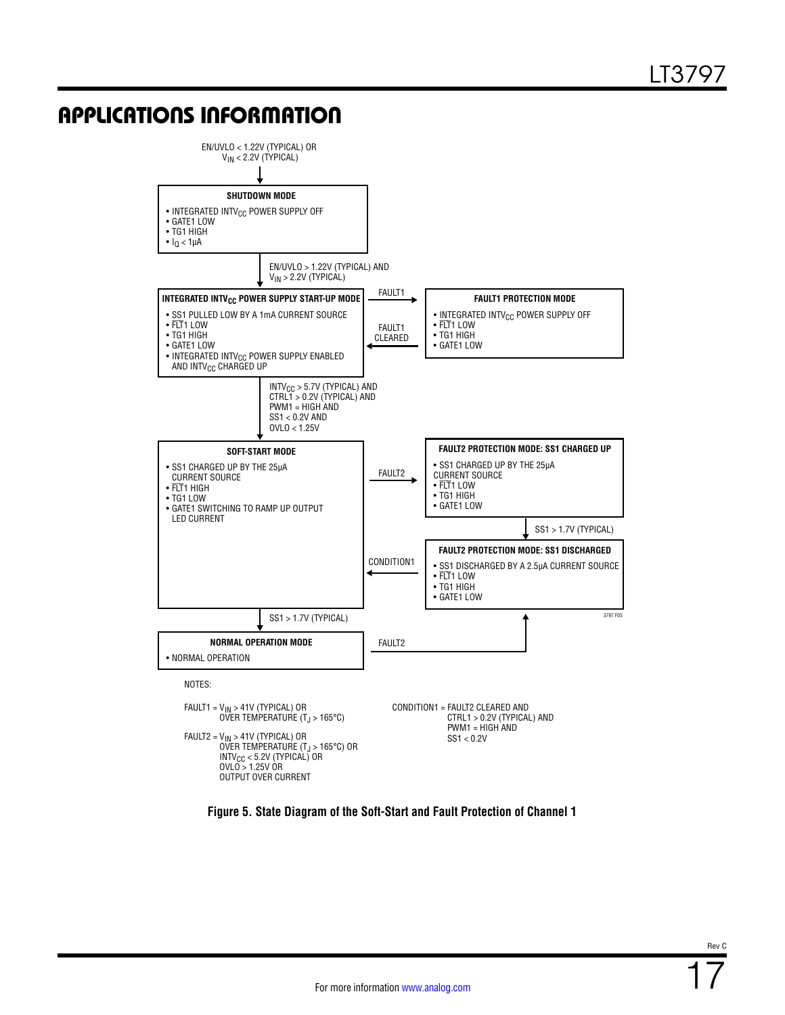

<span id="page-16-0"></span>**Figure 5. State Diagram of the Soft-Start and Fault Protection of Channel 1**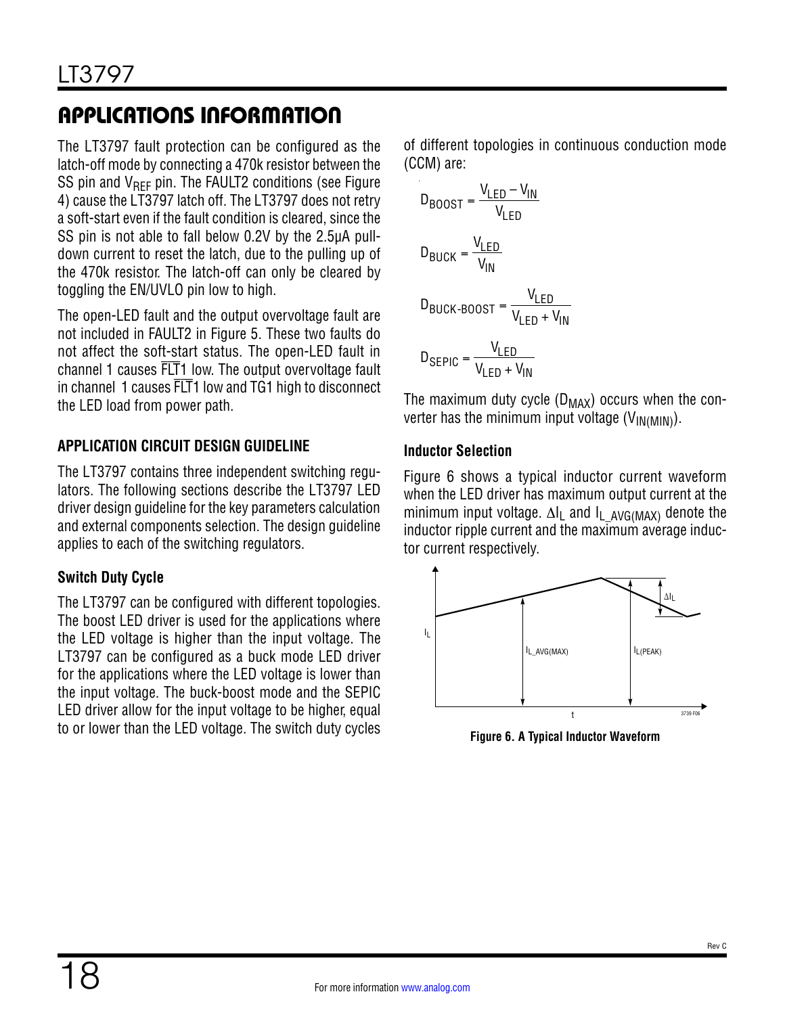The LT3797 fault protection can be configured as the latch-off mode by connecting a 470k resistor between the SS pin and  $V_{REF}$  pin. The FAULT2 conditions (see Figure [4\)](#page-14-1) cause the LT3797 latch off. The LT3797 does not retry a soft-start even if the fault condition is cleared, since the SS pin is not able to fall below 0.2V by the 2.5µA pulldown current to reset the latch, due to the pulling up of the 470k resistor. The latch-off can only be cleared by toggling the EN/UVLO pin low to high.

The open-LED fault and the output overvoltage fault are not included in FAULT2 in [Figure 5](#page-16-0). These two faults do not affect the soft-start status. The open-LED fault in channel 1 causes FLT1 low. The output overvoltage fault in channel 1 causes FLT1 low and TG1 high to disconnect the LED load from power path.

### **APPLICATION CIRCUIT DESIGN GUIDELINE**

The LT3797 contains three independent switching regulators. The following sections describe the LT3797 LED driver design guideline for the key parameters calculation and external components selection. The design guideline applies to each of the switching regulators.

### **Switch Duty Cycle**

The LT3797 can be configured with different topologies. The boost LED driver is used for the applications where the LED voltage is higher than the input voltage. The LT3797 can be configured as a buck mode LED driver for the applications where the LED voltage is lower than the input voltage. The buck-boost mode and the SEPIC LED driver allow for the input voltage to be higher, equal to or lower than the LED voltage. The switch duty cycles of different topologies in continuous conduction mode (CCM) are:

$$
D_{BOOST} = \frac{V_{LED} - V_{IN}}{V_{LED}}
$$
  

$$
D_{BUCK} = \frac{V_{LED}}{V_{IN}}
$$
  

$$
D_{BUCK-BOOST} = \frac{V_{LED}}{V_{LED} + V_{IN}}
$$
  

$$
D_{SEPIC} = \frac{V_{LED}}{V_{LED} + V_{IN}}
$$

The maximum duty cycle  $(D_{MAX})$  occurs when the converter has the minimum input voltage  $(V_{IN(MIN)})$ .

#### **Inductor Selection**

[Figure 6](#page-17-0) shows a typical inductor current waveform when the LED driver has maximum output current at the minimum input voltage. ∆I<sub>L</sub> and I<sub>L AVG(MAX)</sub> denote the inductor ripple current and the maximum average inductor current respectively.



<span id="page-17-0"></span>**Figure 6. A Typical Inductor Waveform**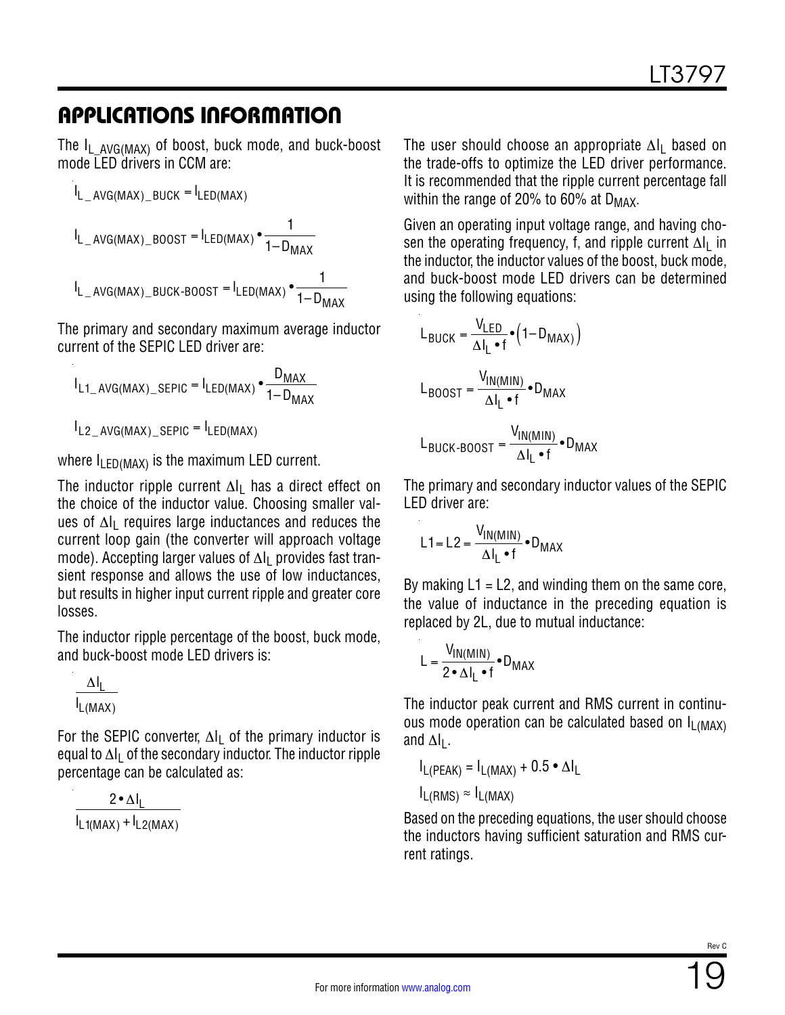The  $I_L$  AVG(MAX) of boost, buck mode, and buck-boost mode LED drivers in CCM are:

$$
I_{L_AVG(MAX) \_BUCK} = I_{LED(MAX)}
$$
  
\n
$$
I_{L_AVG(MAX) \_BOOST} = I_{LED(MAX)} \cdot \frac{1}{1 - D_{MAX}}
$$
  
\n
$$
I_{L_AVG(MAX) \_BUCK\text{-}BOOST} = I_{LED(MAX)} \cdot \frac{1}{1 - D_{MAX}}
$$

The primary and secondary maximum average inductor current of the SEPIC LED driver are:

$$
I_{L1\_AVG(MAX)\_SEPIC} = I_{LED(MAX)} \cdot \frac{D_{MAX}}{1 - D_{MAX}}
$$

 $I_{L2\_AVG(MAX)\_{SEPIC}} = I_{LED(MAX)}$ 

where  $I_{\text{FDMAX}}$  is the maximum LED current.

The inductor ripple current  $\Delta I_1$  has a direct effect on the choice of the inductor value. Choosing smaller values of ∆I<sub>L</sub> requires large inductances and reduces the current loop gain (the converter will approach voltage mode). Accepting larger values of ∆l<sub>L</sub> provides fast transient response and allows the use of low inductances, but results in higher input current ripple and greater core losses.

The inductor ripple percentage of the boost, buck mode, and buck-boost mode LED drivers is:

$$
\frac{\Delta I_L}{I_{L(MAX)}}
$$

For the SEPIC converter,  $\Delta I_1$  of the primary inductor is equal to ∆I<sub>L</sub> of the secondary inductor. The inductor ripple percentage can be calculated as:

$$
\frac{2 \cdot \Delta I_L}{I_{L1(MAX)} + I_{L2(MAX)}}
$$

The user should choose an appropriate ∆I<sub>L</sub> based on the trade-offs to optimize the LED driver performance. It is recommended that the ripple current percentage fall within the range of 20% to 60% at  $D_{MAX}$ .

Given an operating input voltage range, and having chosen the operating frequency, f, and ripple current ∆l<sub>L</sub> in the inductor, the inductor values of the boost, buck mode, and buck-boost mode LED drivers can be determined using the following equations:

$$
L_{\text{BUGK}} = \frac{V_{\text{LED}}}{\Delta I_{\text{L}} \cdot f} \cdot \left(1 - D_{\text{MAX}}\right)
$$

$$
L_{\text{BOOST}} = \frac{V_{\text{IN(MIN)}}}{\Delta I_{\text{L}} \cdot f} \cdot D_{\text{MAX}}
$$

$$
L_{\text{BUGK-BOOST}} = \frac{V_{\text{IN(MIN)}}}{\Delta I_{\text{L}} \cdot f} \cdot D_{\text{MAX}}
$$

The primary and secondary inductor values of the SEPIC LED driver are:

$$
L1 = L2 = \frac{V_{IN(MIN)}}{\Delta I_L \cdot f} \cdot D_{MAX}
$$

By making  $L1 = L2$ , and winding them on the same core, the value of inductance in the preceding equation is replaced by 2L, due to mutual inductance:

$$
L = \frac{V_{IN(MIN)}}{2 \cdot \Delta I_L \cdot f} \cdot D_{MAX}
$$

The inductor peak current and RMS current in continuous mode operation can be calculated based on  $I_{L(MAX)}$ and  $\Delta I_L$ .

$$
I_{L(PEAK)} = I_{L(MAX)} + 0.5 \cdot \Delta I_L
$$

$$
I_{L(RMS)} \approx I_{L(MAX)}
$$

Based on the preceding equations, the user should choose the inductors having sufficient saturation and RMS current ratings.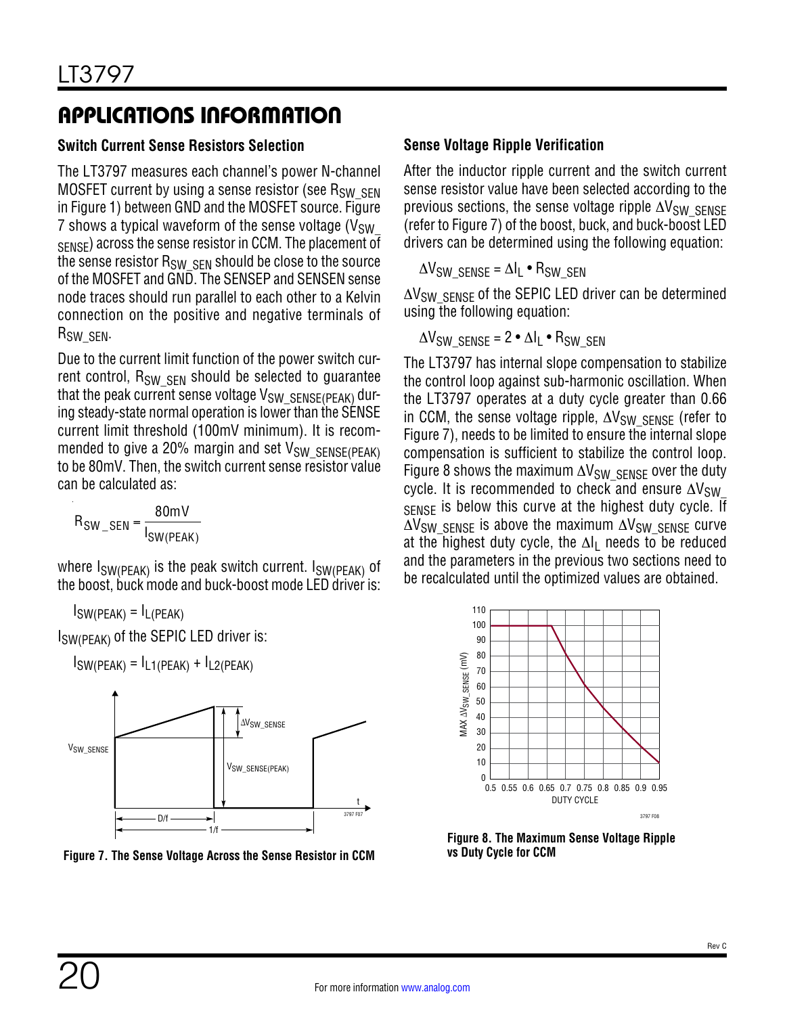### **Switch Current Sense Resistors Selection**

The LT3797 measures each channel's power N-channel MOSFET current by using a sense resistor (see  $R_{SW,SEN}$ in [Figure 1\)](#page-10-1) between GND and the MOSFET source. [Figure](#page-19-0) [7](#page-19-0) shows a typical waveform of the sense voltage ( $V_{SW}$ SENSE) across the sense resistor in CCM. The placement of the sense resistor  $R_{SW, SFN}$  should be close to the source of the MOSFET and GND. The SENSEP and SENSEN sense node traces should run parallel to each other to a Kelvin connection on the positive and negative terminals of R<sub>SW</sub> SEN.

Due to the current limit function of the power switch current control,  $R_{SW, SFM}$  should be selected to guarantee that the peak current sense voltage  $V_{SW\_SENSE(PFAK)}$  during steady-state normal operation is lower than the SENSE current limit threshold (100mV minimum). It is recommended to give a 20% margin and set V<sub>SW\_SENSE(PEAK)</sub> to be 80mV. Then, the switch current sense resistor value can be calculated as:

$$
R_{SW\_SEN} = \frac{80 \text{mV}}{I_{SW(PEAK)}}
$$

where  $I_{SW(PEAK)}$  is the peak switch current.  $I_{SW(PEAK)}$  of the boost, buck mode and buck-boost mode LED driver is:

 $I_{SW(PEAK)} = I_{L(PEAK)}$ 

ISW(PEAK) of the SEPIC LED driver is:



<span id="page-19-0"></span>**Figure 7. The Sense Voltage Across the Sense Resistor in CCM**

### **Sense Voltage Ripple Verification**

After the inductor ripple current and the switch current sense resistor value have been selected according to the previous sections, the sense voltage ripple  $\Delta V_{\text{SW}}$  SENSE (refer to [Figure 7](#page-19-0)) of the boost, buck, and buck-boost LED drivers can be determined using the following equation:

 $\Delta V_{SW}$  sense =  $\Delta I_L \cdot R_{SW}$  sen

∆V<sub>SW</sub> SENSE of the SEPIC LED driver can be determined using the following equation:

$$
\Delta V_{SW\_SENSE} = 2 \cdot \Delta I_L \cdot R_{SW\_SEN}
$$

The LT3797 has internal slope compensation to stabilize the control loop against sub-harmonic oscillation. When the LT3797 operates at a duty cycle greater than 0.66 in CCM, the sense voltage ripple,  $\Delta V_{SW\text{SNR}}$  (refer to [Figure 7\)](#page-19-0), needs to be limited to ensure the internal slope compensation is sufficient to stabilize the control loop. [Figure 8](#page-19-1) shows the maximum  $\Delta V_{SW}$  SENSE over the duty cycle. It is recommended to check and ensure  $\Delta V_{\text{SW}}$ SENSE IS below this curve at the highest duty cycle. If  $\Delta V_{SW}$  SENSE is above the maximum  $\Delta V_{SW}$  SENSE curve at the highest duty cycle, the  $\Delta I_L$  needs to be reduced and the parameters in the previous two sections need to be recalculated until the optimized values are obtained.



<span id="page-19-1"></span>**vs Duty Cycle for CCM**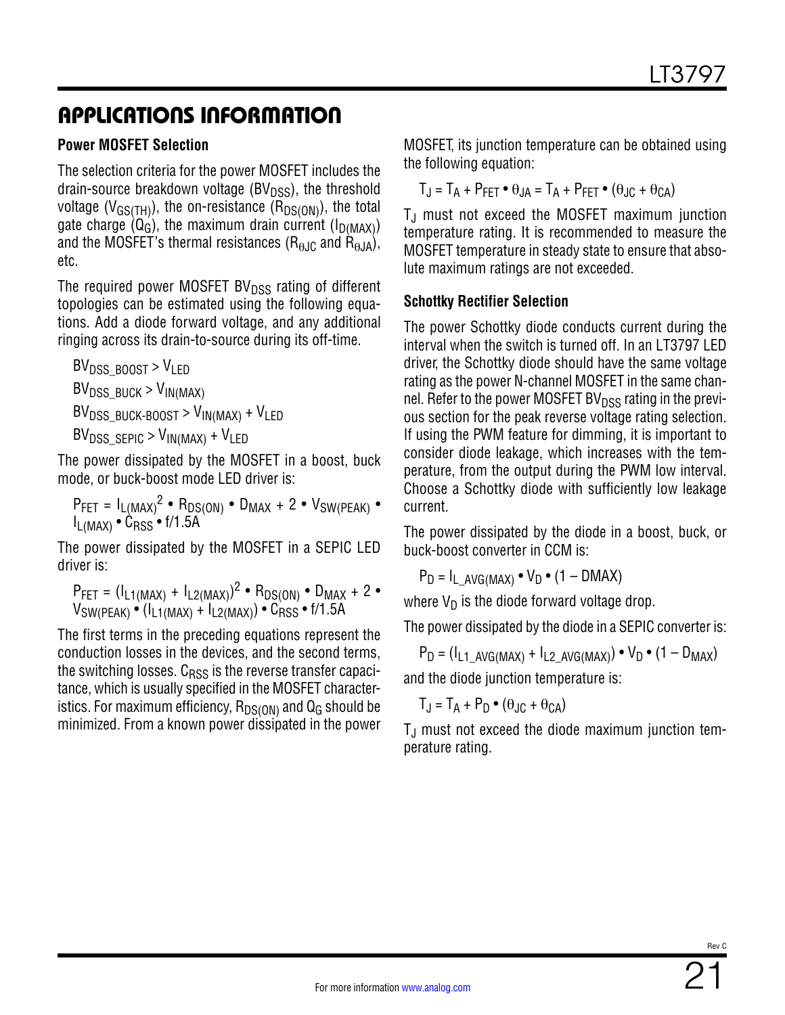#### **Power MOSFET Selection**

The selection criteria for the power MOSFET includes the drain-source breakdown voltage ( $BV<sub>DSS</sub>$ ), the threshold voltage ( $V_{\text{GS}(TH)}$ ), the on-resistance ( $R_{DS(ON)}$ ), the total gate charge  $(Q_G)$ , the maximum drain current  $(I_D(MAX))$ and the MOSFET's thermal resistances ( $R_{\theta,IC}$  and  $\dot{R}_{\theta,IA}$ ), etc.

The required power MOSFET BV $_{\text{DSS}}$  rating of different topologies can be estimated using the following equations. Add a diode forward voltage, and any additional ringing across its drain-to-source during its off-time.

 $BV<sub>DSS</sub>$  BOOST >  $V<sub>LPD</sub>$  $BV_{DSS-BUCH} > V_{IN(MAX)}$  $BV_{DSS}$  BUCK-BOOST >  $V_{IN(MAX)} + V_{LED}$  $BV_{DSS-SEPIC} > V_{IN(MAX)} + V_{LED}$ 

The power dissipated by the MOSFET in a boost, buck mode, or buck-boost mode LED driver is:

$$
P_{FET} = I_{L(MAX)}^2 \cdot R_{DS(ON)} \cdot D_{MAX} + 2 \cdot V_{SW(PEAK)} \cdot I_{L(MAX)} \cdot C_{RSS} \cdot f/1.5A
$$

The power dissipated by the MOSFET in a SEPIC LED driver is:

$$
P_{FET} = (I_{L1(MAX)} + I_{L2(MAX)})^2 \cdot R_{DS(ON)} \cdot D_{MAX} + 2 \cdot V_{SW(PEAK)} \cdot (I_{L1(MAX)} + I_{L2(MAX)}) \cdot C_{RSS} \cdot f/1.5A
$$

The first terms in the preceding equations represent the conduction losses in the devices, and the second terms, the switching losses.  $C_{RSS}$  is the reverse transfer capacitance, which is usually specified in the MOSFET characteristics. For maximum efficiency,  $R_{DS(ON)}$  and  $Q_G$  should be minimized. From a known power dissipated in the power MOSFET, its junction temperature can be obtained using the following equation:

 $T_{\text{I}} = T_A + P_{\text{FFT}} \bullet \theta_{\text{I}A} = T_A + P_{\text{FFT}} \bullet (\theta_{\text{J}C} + \theta_{\text{CA}})$ 

 $T_{\text{J}}$  must not exceed the MOSFET maximum junction temperature rating. It is recommended to measure the MOSFET temperature in steady state to ensure that absolute maximum ratings are not exceeded.

#### **Schottky Rectifier Selection**

The power Schottky diode conducts current during the interval when the switch is turned off. In an LT3797 LED driver, the Schottky diode should have the same voltage rating as the power N-channel MOSFET in the same channel. Refer to the power MOSFET BV $_{\text{DSS}}$  rating in the previous section for the peak reverse voltage rating selection. If using the PWM feature for dimming, it is important to consider diode leakage, which increases with the temperature, from the output during the PWM low interval. Choose a Schottky diode with sufficiently low leakage current.

The power dissipated by the diode in a boost, buck, or buck-boost converter in CCM is:

$$
P_D = I_{L_AVG(MAX)} \bullet V_D \bullet (1 - DMAX)
$$

where  $V_D$  is the diode forward voltage drop.

The power dissipated by the diode in a SEPIC converter is:

 $P_D = (I_{L1} \text{AVG}(\text{MAX}) + I_{L2} \text{AVG}(\text{MAX})) \cdot V_D \cdot (1 - D_{MAX})$ and the diode junction temperature is:

$$
T_J = T_A + P_D \bullet (\theta_{JC} + \theta_{CA})
$$

 $T_{\text{J}}$  must not exceed the diode maximum junction temperature rating.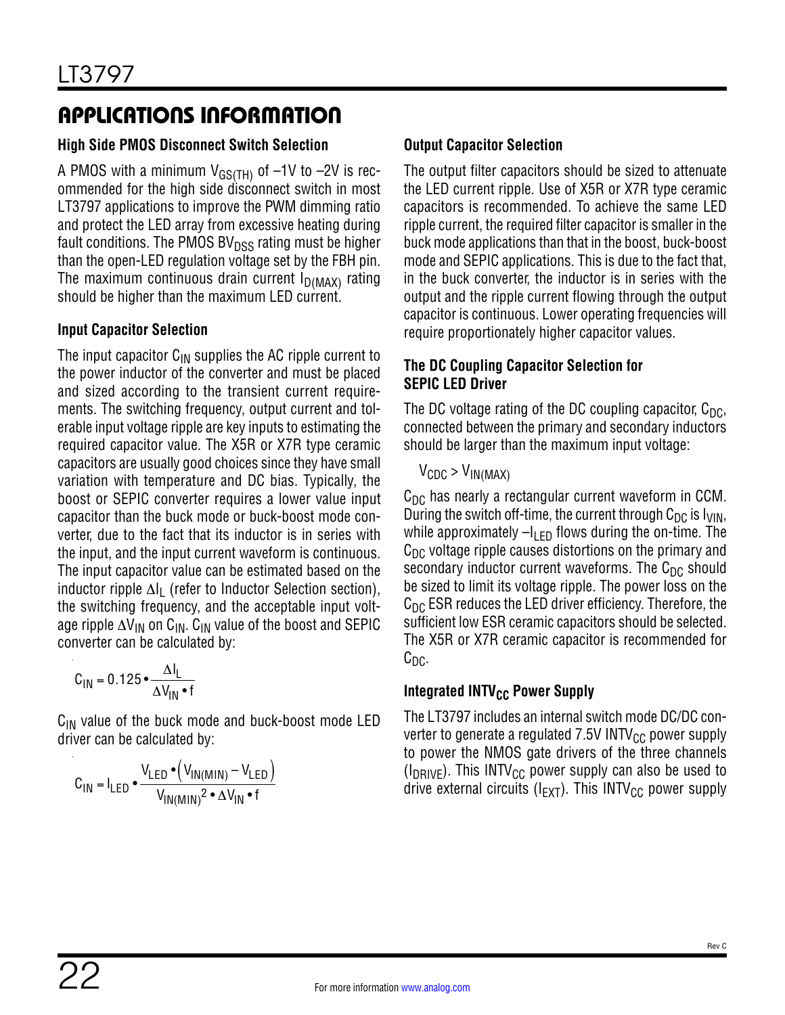### **High Side PMOS Disconnect Switch Selection**

A PMOS with a minimum  $V_{GS(TH)}$  of  $-1V$  to  $-2V$  is recommended for the high side disconnect switch in most LT3797 applications to improve the PWM dimming ratio and protect the LED array from excessive heating during fault conditions. The PMOS BV $_{\text{DSS}}$  rating must be higher than the open-LED regulation voltage set by the FBH pin. The maximum continuous drain current  $I_{D(MAX)}$  rating should be higher than the maximum LED current.

#### **Input Capacitor Selection**

The input capacitor  $C_{\text{IN}}$  supplies the AC ripple current to the power inductor of the converter and must be placed and sized according to the transient current requirements. The switching frequency, output current and tolerable input voltage ripple are key inputs to estimating the required capacitor value. The X5R or X7R type ceramic capacitors are usually good choices since they have small variation with temperature and DC bias. Typically, the boost or SEPIC converter requires a lower value input capacitor than the buck mode or buck-boost mode converter, due to the fact that its inductor is in series with the input, and the input current waveform is continuous. The input capacitor value can be estimated based on the inductor ripple  $\Delta I_L$  (refer to Inductor Selection section), the switching frequency, and the acceptable input voltage ripple  $\Delta V_{IN}$  on C<sub>IN</sub>. C<sub>IN</sub> value of the boost and SEPIC converter can be calculated by:

$$
C_{IN} = 0.125 \cdot \frac{\Delta I_L}{\Delta V_{IN} \cdot f}
$$

 $C_{IN}$  value of the buck mode and buck-boost mode LED driver can be calculated by:

$$
C_{IN} = I_{LED} \cdot \frac{V_{LED} \cdot (V_{IN(MIN)} - V_{LED})}{V_{IN(MIN)}^2 \cdot \Delta V_{IN} \cdot f}
$$

### **Output Capacitor Selection**

The output filter capacitors should be sized to attenuate the LED current ripple. Use of X5R or X7R type ceramic capacitors is recommended. To achieve the same LED ripple current, the required filter capacitor is smaller in the buck mode applications than that in the boost, buck-boost mode and SEPIC applications. This is due to the fact that, in the buck converter, the inductor is in series with the output and the ripple current flowing through the output capacitor is continuous. Lower operating frequencies will require proportionately higher capacitor values.

#### **The DC Coupling Capacitor Selection for SEPIC LED Driver**

The DC voltage rating of the DC coupling capacitor,  $C_{DC}$ , connected between the primary and secondary inductors should be larger than the maximum input voltage:

 $V_{CDC} > V_{IN(MAX)}$ 

 $C_{\text{DC}}$  has nearly a rectangular current waveform in CCM. During the switch off-time, the current through  $C_{DC}$  is  $I_{VIN}$ , while approximately  $-I_{LED}$  flows during the on-time. The  $C<sub>DC</sub>$  voltage ripple causes distortions on the primary and secondary inductor current waveforms. The  $C_{DC}$  should be sized to limit its voltage ripple. The power loss on the  $C_{\text{DC}}$  ESR reduces the LED driver efficiency. Therefore, the sufficient low ESR ceramic capacitors should be selected. The X5R or X7R ceramic capacitor is recommended for  $C_{\text{DC}}$ .

#### **Integrated INTV<sub>CC</sub> Power Supply**

The LT3797 includes an internal switch mode DC/DC converter to generate a regulated  $7.5V$  INTV<sub>CC</sub> power supply to power the NMOS gate drivers of the three channels ( $I_{DRIVE}$ ). This INTV<sub>CC</sub> power supply can also be used to drive external circuits ( $I_{\text{FXT}}$ ). This INTV<sub>CC</sub> power supply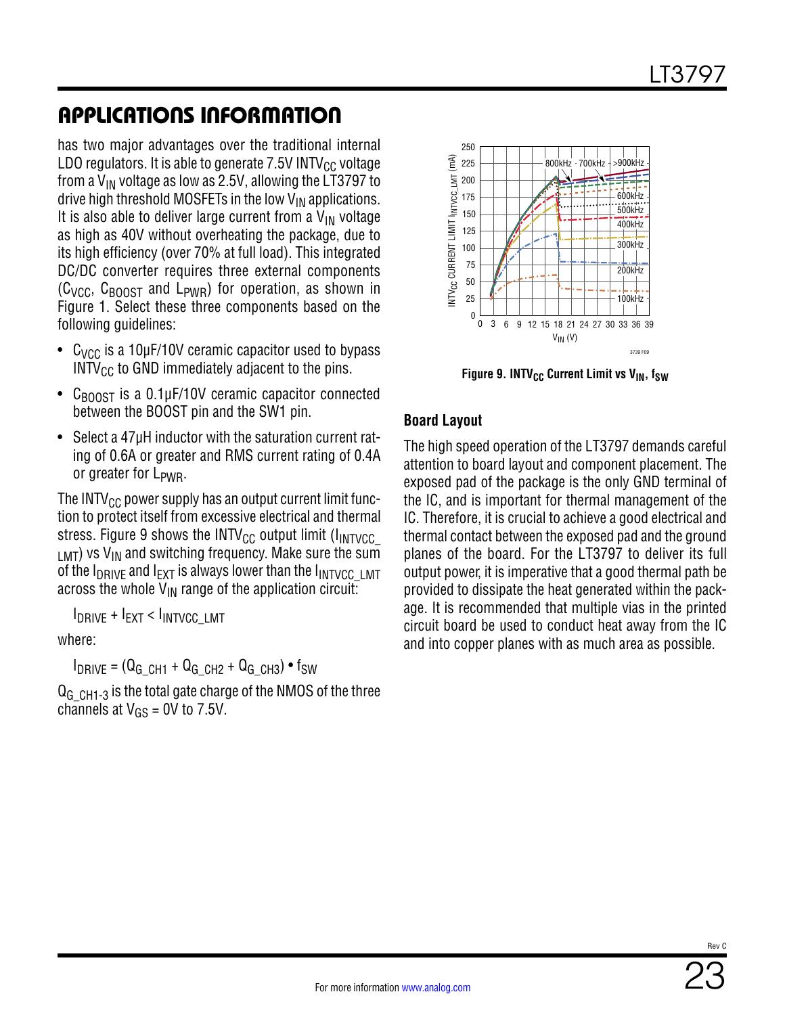has two major advantages over the traditional internal LDO regulators. It is able to generate  $7.5V$  INTV<sub>CC</sub> voltage from a  $V_{IN}$  voltage as low as 2.5V, allowing the LT3797 to drive high threshold MOSFETs in the low  $V_{IN}$  applications. It is also able to deliver large current from a  $V_{IN}$  voltage as high as 40V without overheating the package, due to its high efficiency (over 70% at full load). This integrated DC/DC converter requires three external components  $(C<sub>VCC</sub>, C<sub>BONST</sub>$  and  $L<sub>PWR</sub>$  for operation, as shown in [Figure 1.](#page-10-1) Select these three components based on the following guidelines:

- $C_{VCC}$  is a 10µF/10V ceramic capacitor used to bypass  $INTV_{CC}$  to GND immediately adjacent to the pins.
- $C_{\text{BOOST}}$  is a 0.1µF/10V ceramic capacitor connected between the BOOST pin and the SW1 pin.
- Select a 47µH inductor with the saturation current rating of 0.6A or greater and RMS current rating of 0.4A or greater for L<sub>PWR</sub>.

The INTV<sub>CC</sub> power supply has an output current limit function to protect itself from excessive electrical and thermal stress. [Figure 9](#page-22-0) shows the INTV<sub>CC</sub> output limit ( $I_{\text{INTVCC}}$  $LMT)$  vs V<sub>IN</sub> and switching frequency. Make sure the sum of the  $I_{DRIVE}$  and  $I_{EXT}$  is always lower than the  $I_{INTVCC-LMT}$ across the whole  $V_{IN}$  range of the application circuit:

IDRIVE + IEXT < IINTVCC\_LMT

where:

 $I_{DRIVE} = (Q_{GCH1} + Q_{GCH2} + Q_{GCH3}) \cdot f_{SW}$ 

 $Q<sub>G</sub>$   $CH1-3$  is the total gate charge of the NMOS of the three channels at  $V_{GS} = 0V$  to 7.5V.



<span id="page-22-0"></span>Figure 9. INTV<sub>CC</sub> Current Limit vs V<sub>IN</sub>, f<sub>SW</sub>

#### **Board Layout**

The high speed operation of the LT3797 demands careful attention to board layout and component placement. The exposed pad of the package is the only GND terminal of the IC, and is important for thermal management of the IC. Therefore, it is crucial to achieve a good electrical and thermal contact between the exposed pad and the ground planes of the board. For the LT3797 to deliver its full output power, it is imperative that a good thermal path be provided to dissipate the heat generated within the package. It is recommended that multiple vias in the printed circuit board be used to conduct heat away from the IC and into copper planes with as much area as possible.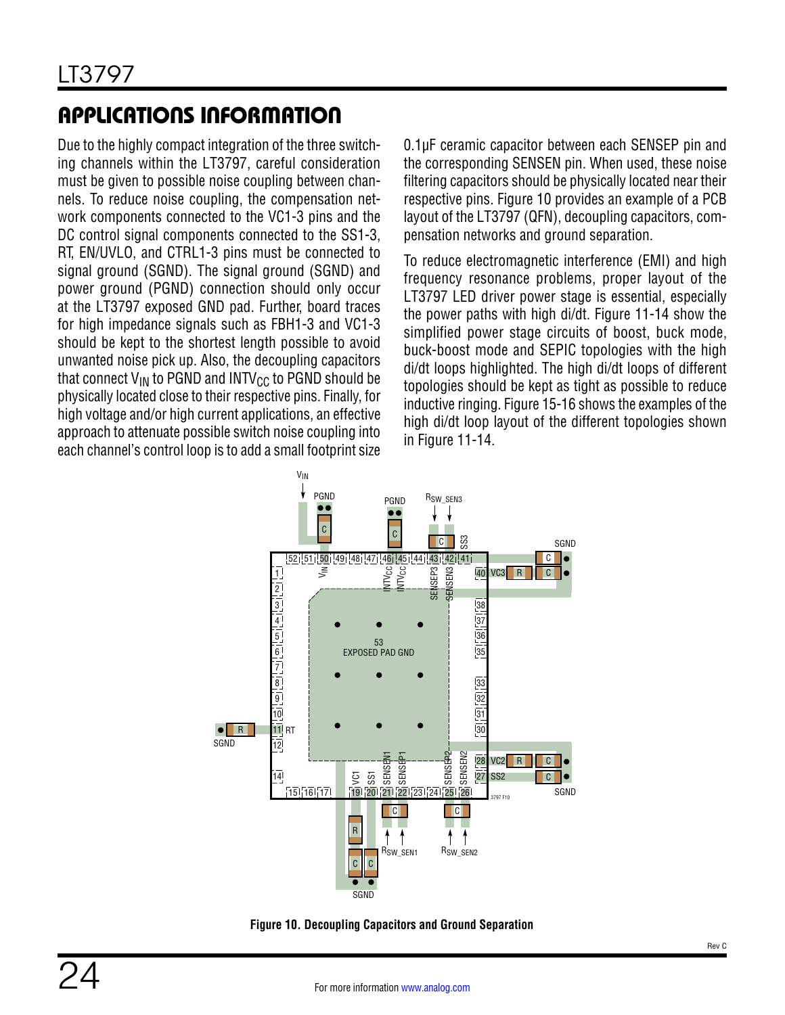Due to the highly compact integration of the three switching channels within the LT3797, careful consideration must be given to possible noise coupling between channels. To reduce noise coupling, the compensation network components connected to the VC1-3 pins and the DC control signal components connected to the SS1-3, RT, EN/UVLO, and CTRL1-3 pins must be connected to signal ground (SGND). The signal ground (SGND) and power ground (PGND) connection should only occur at the LT3797 exposed GND pad. Further, board traces for high impedance signals such as FBH1-3 and VC1-3 should be kept to the shortest length possible to avoid unwanted noise pick up. Also, the decoupling capacitors that connect  $V_{IN}$  to PGND and INTV<sub>CC</sub> to PGND should be physically located close to their respective pins. Finally, for high voltage and/or high current applications, an effective approach to attenuate possible switch noise coupling into each channel's control loop is to add a small footprint size 0.1µF ceramic capacitor between each SENSEP pin and the corresponding SENSEN pin. When used, these noise filtering capacitors should be physically located near their respective pins. [Figure 10](#page-23-0) provides an example of a PCB layout of the LT3797 (QFN), decoupling capacitors, compensation networks and ground separation.

To reduce electromagnetic interference (EMI) and high frequency resonance problems, proper layout of the LT3797 LED driver power stage is essential, especially the power paths with high di/dt. [Figure 11-](#page-24-0)14 show the simplified power stage circuits of boost, buck mode, buck-boost mode and SEPIC topologies with the high di/dt loops highlighted. The high di/dt loops of different topologies should be kept as tight as possible to reduce inductive ringing. [Figure 15](#page-24-1)-16 shows the examples of the high di/dt loop layout of the different topologies shown in [Figure 11](#page-24-0)-14.



<span id="page-23-0"></span>**Figure 10. Decoupling Capacitors and Ground Separation**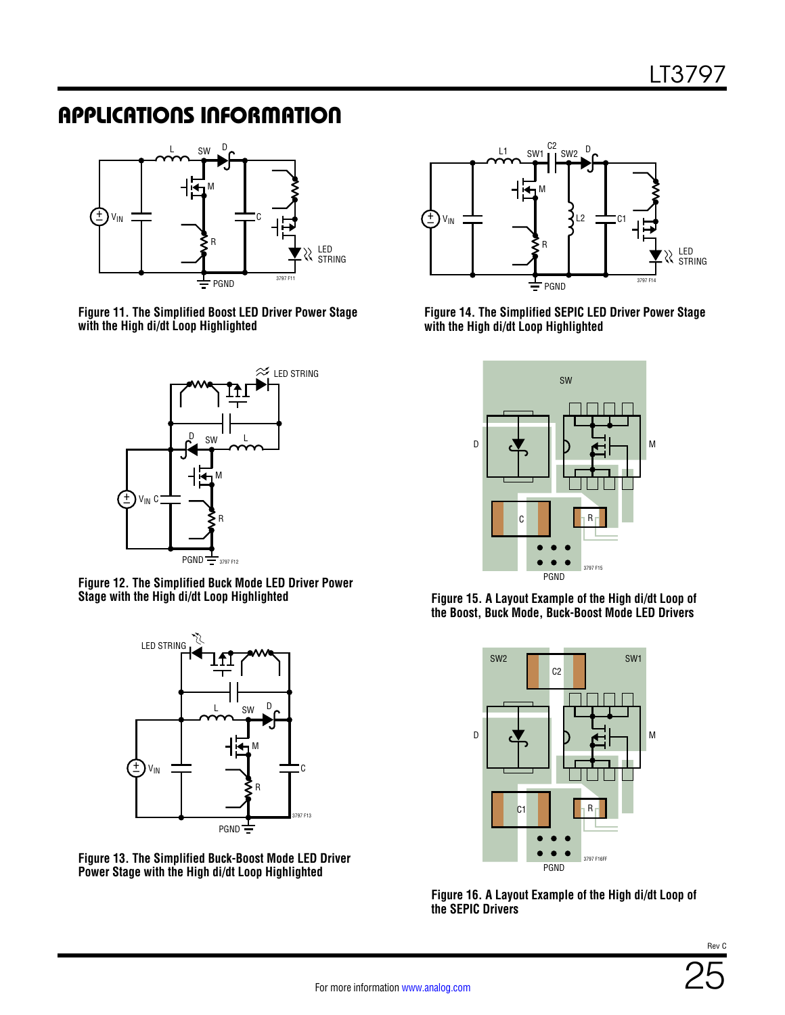

<span id="page-24-0"></span>**Figure 11. The Simplified Boost LED Driver Power Stage with the High di/dt Loop Highlighted**



**Figure 12. The Simplified Buck Mode LED Driver Power Stage with the High di/dt Loop Highlighted**



**Figure 13. The Simplified Buck-Boost Mode LED Driver Power Stage with the High di/dt Loop Highlighted**



**Figure 14. The Simplified SEPIC LED Driver Power Stage with the High di/dt Loop Highlighted**



<span id="page-24-1"></span>**Figure 15. A Layout Example of the High di/dt Loop of the Boost, Buck Mode, Buck-Boost Mode LED Drivers**



**Figure 16. A Layout Example of the High di/dt Loop of the SEPIC Drivers**

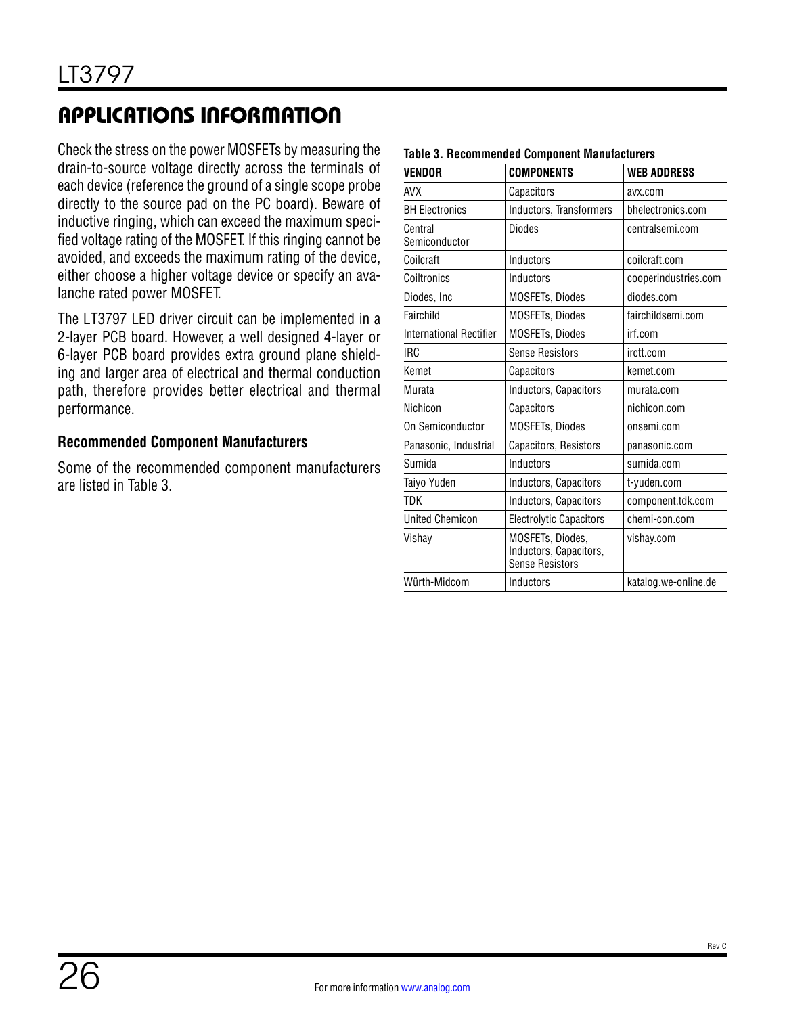Check the stress on the power MOSFETs by measuring the drain-to-source voltage directly across the terminals of each device (reference the ground of a single scope probe directly to the source pad on the PC board). Beware of inductive ringing, which can exceed the maximum specified voltage rating of the MOSFET. If this ringing cannot be avoided, and exceeds the maximum rating of the device, either choose a higher voltage device or specify an avalanche rated power MOSFET.

The LT3797 LED driver circuit can be implemented in a 2-layer PCB board. However, a well designed 4-layer or 6-layer PCB board provides extra ground plane shielding and larger area of electrical and thermal conduction path, therefore provides better electrical and thermal performance.

#### **Recommended Component Manufacturers**

Some of the recommended component manufacturers are listed in [Table 3.](#page-25-0)

<span id="page-25-0"></span>

| Table 5. Recommended Component Manufacturers |                                                                      |                      |  |  |
|----------------------------------------------|----------------------------------------------------------------------|----------------------|--|--|
| <b>VENDOR</b>                                | <b>COMPONENTS</b>                                                    | <b>WEB ADDRESS</b>   |  |  |
| <b>AVX</b>                                   | Capacitors                                                           | avx.com              |  |  |
| <b>BH Electronics</b>                        | Inductors, Transformers                                              | bhelectronics.com    |  |  |
| Central<br>Semiconductor                     | Diodes                                                               | centralsemi.com      |  |  |
| Coilcraft                                    | Inductors                                                            | coilcraft.com        |  |  |
| Coiltronics                                  | Inductors                                                            | cooperindustries.com |  |  |
| Diodes, Inc.                                 | <b>MOSFETs, Diodes</b>                                               | diodes.com           |  |  |
| Fairchild                                    | <b>MOSFETs, Diodes</b>                                               | fairchildsemi.com    |  |  |
| <b>International Rectifier</b>               | <b>MOSFETs, Diodes</b>                                               | irf.com              |  |  |
| <b>IRC</b>                                   | <b>Sense Resistors</b>                                               | irctt.com            |  |  |
| Kemet                                        | Capacitors                                                           | kemet.com            |  |  |
| Murata                                       | Inductors, Capacitors                                                | murata.com           |  |  |
| Nichicon                                     | Capacitors                                                           | nichicon.com         |  |  |
| On Semiconductor                             | MOSFETs, Diodes                                                      | onsemi.com           |  |  |
| Panasonic, Industrial                        | Capacitors, Resistors                                                | panasonic.com        |  |  |
| Sumida                                       | Inductors                                                            | sumida.com           |  |  |
| Taiyo Yuden                                  | Inductors, Capacitors                                                | t-yuden.com          |  |  |
| <b>TDK</b>                                   | Inductors, Capacitors                                                | component.tdk.com    |  |  |
| <b>United Chemicon</b>                       | <b>Electrolytic Capacitors</b>                                       | chemi-con.com        |  |  |
| Vishay                                       | MOSFETs, Diodes,<br>Inductors, Capacitors,<br><b>Sense Resistors</b> | vishay.com           |  |  |
| Würth-Midcom                                 | Inductors                                                            | katalog.we-online.de |  |  |

#### **Table 3. Recommended Component Manufacturers**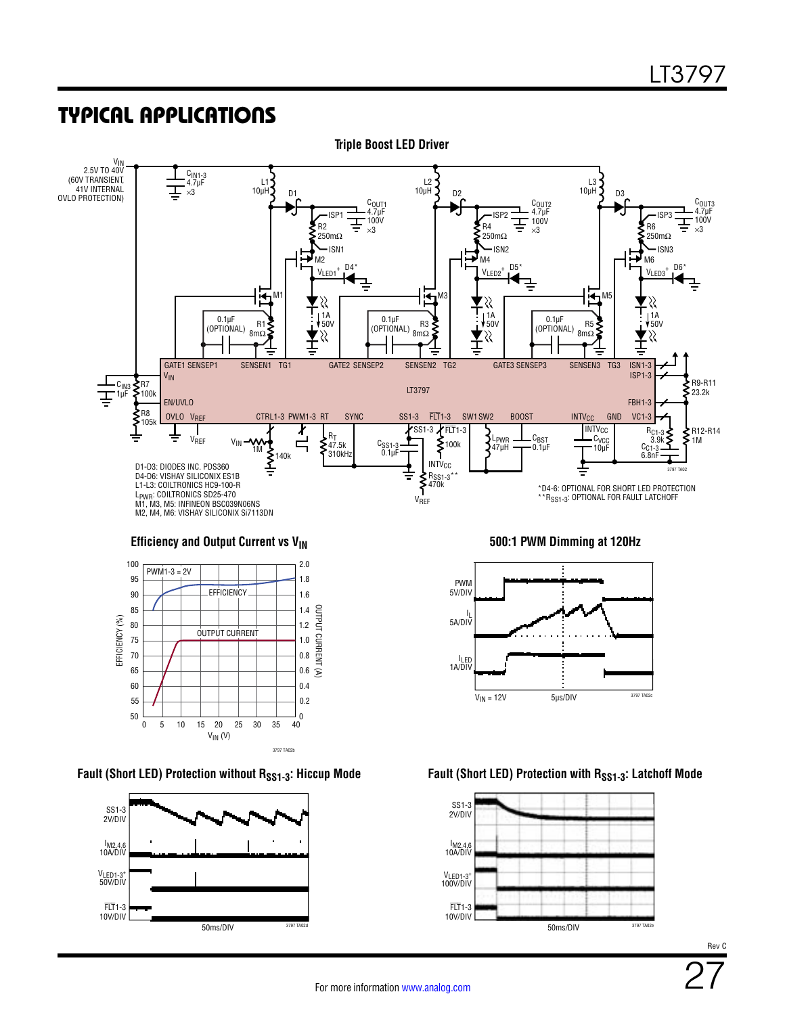

3797 TA02b

VIN (V)

5 15 30 35 40

 $\frac{1}{40}$ 0.2

0.6

0.4

10 20 25

0 50

55

60

65





#### **Fault (Short LED) Protection without RSS1-3: Hiccup Mode Fault (Short LED) Protection with RSS1-3: Latchoff Mode**

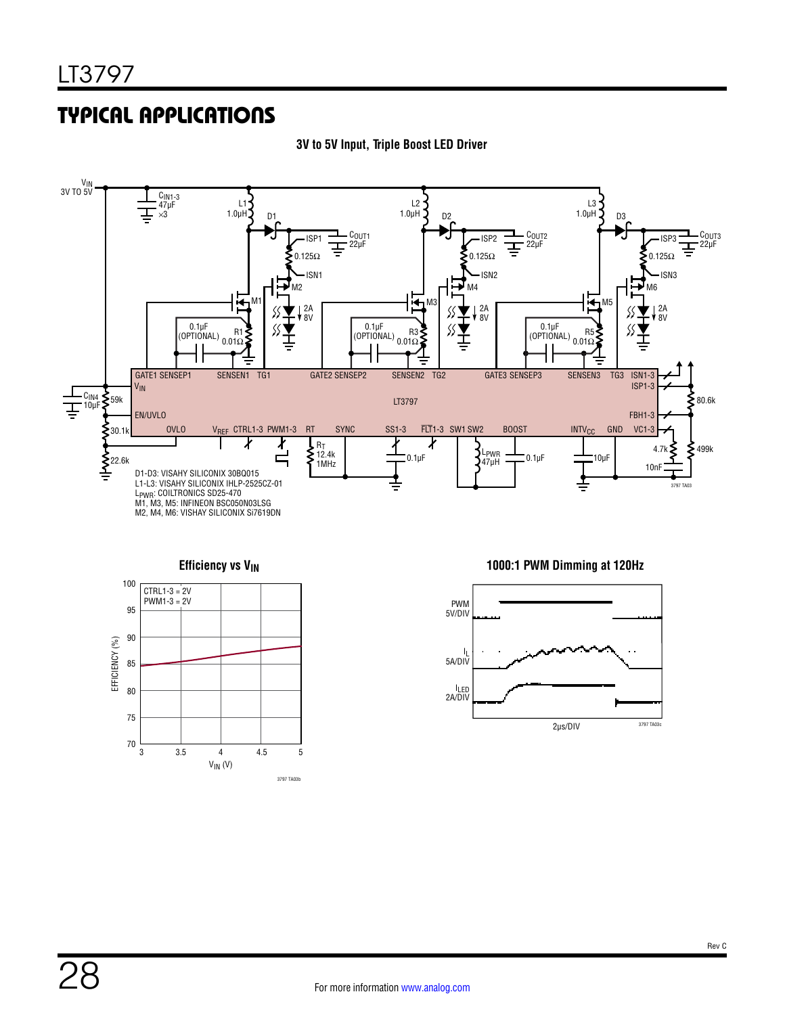

#### **3V to 5V Input, Triple Boost LED Driver**



#### **Efficiency vs V<sub>IN</sub> 1000:1 PWM Dimming at 120Hz**

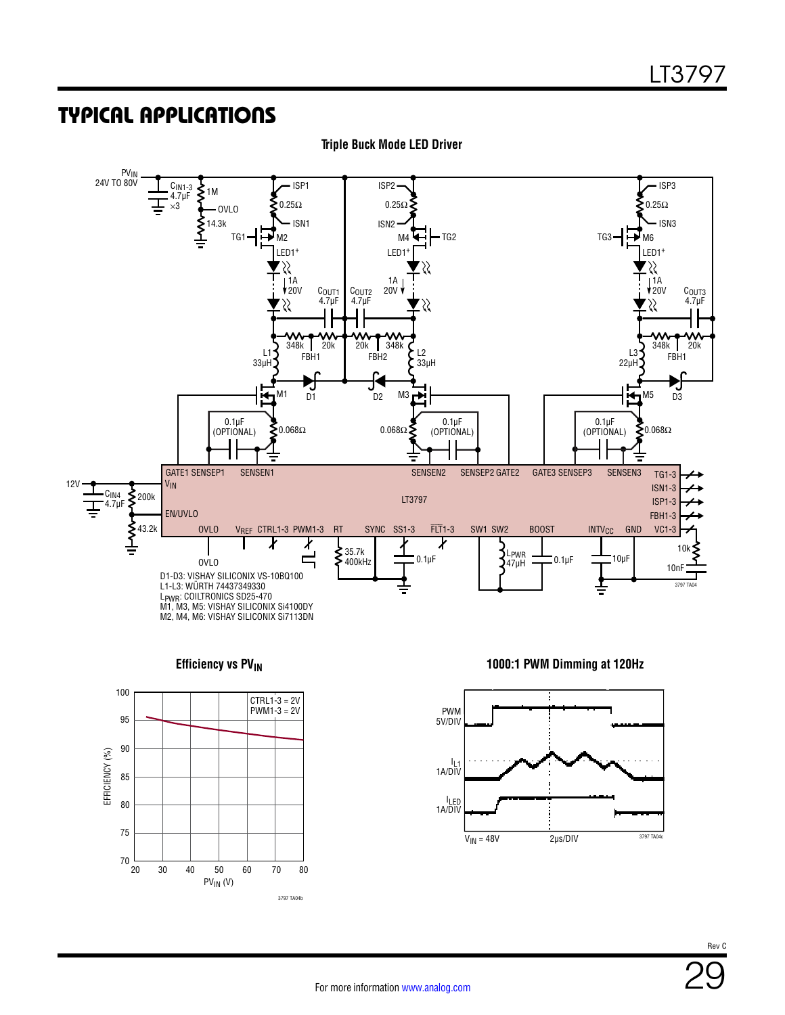

**Triple Buck Mode LED Driver**



**Efficiency vs PV<sub>IN</sub> 1000:1 PWM Dimming at 120Hz** 

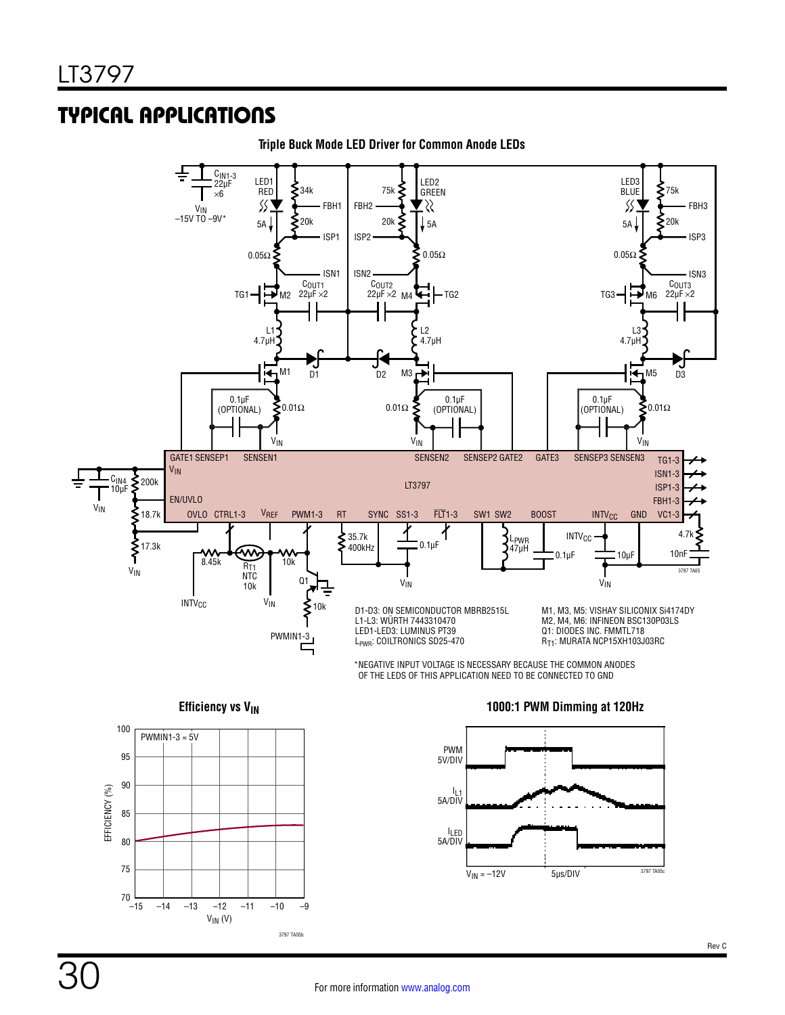

**Triple Buck Mode LED Driver for Common Anode LEDs**



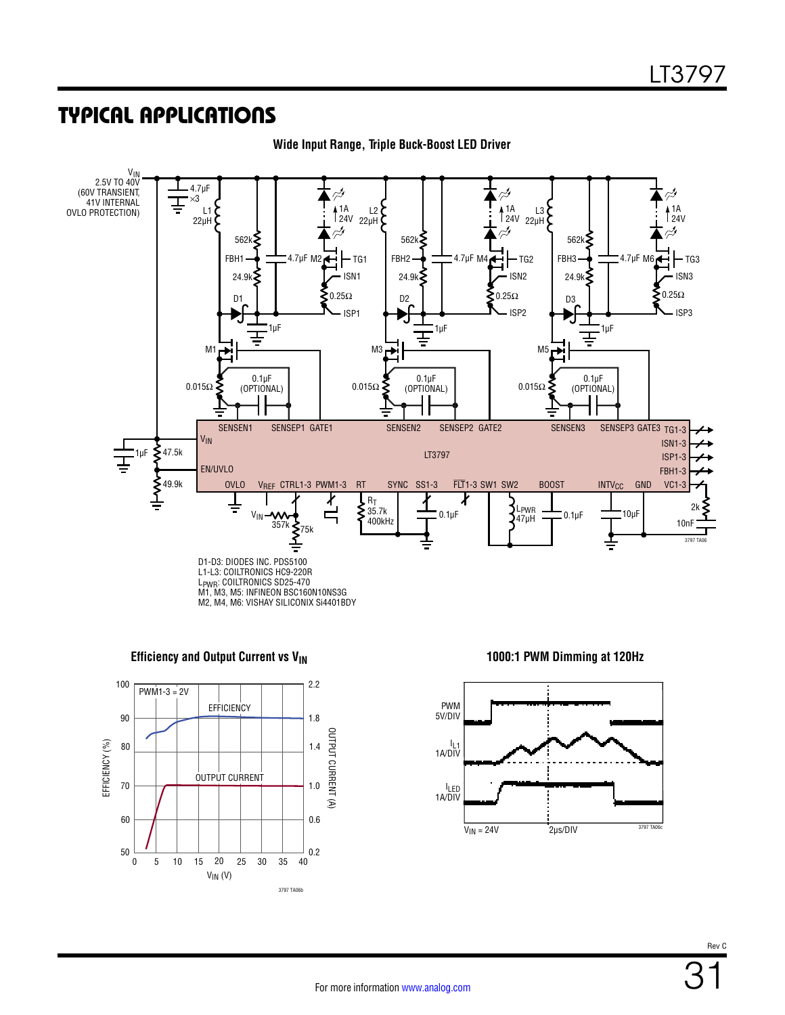

**Wide Input Range, Triple Buck-Boost LED Driver**







31 Rev C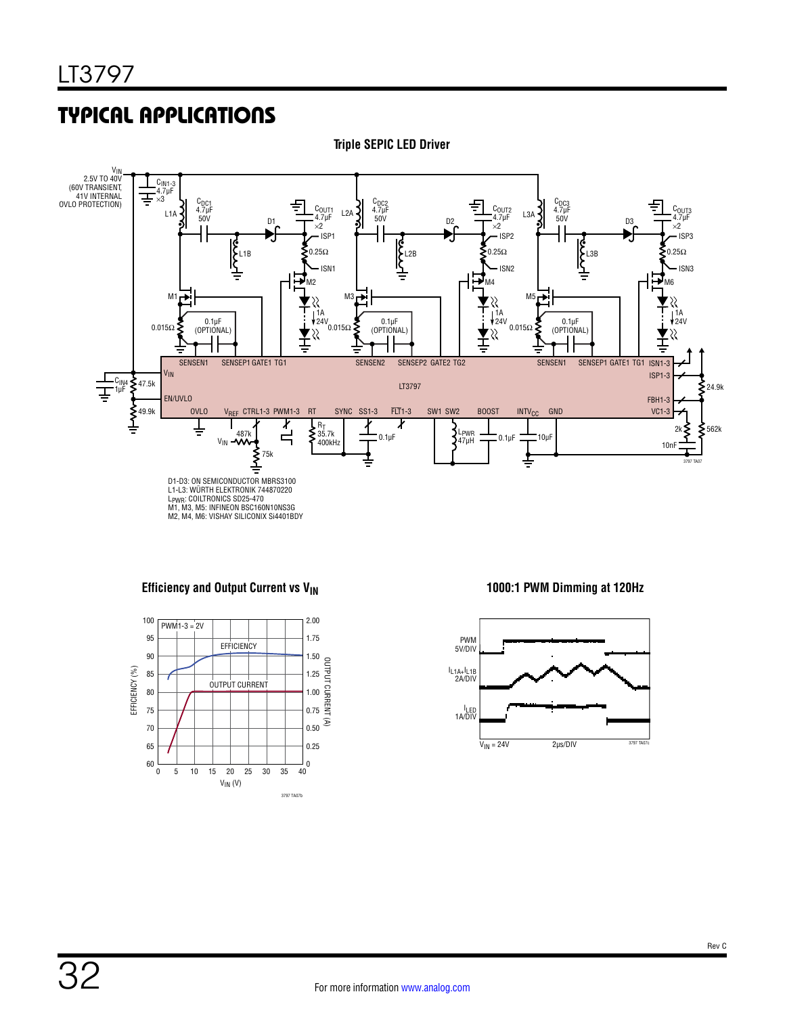**Triple SEPIC LED Driver**



#### **Efficiency and Output Current vs V<sub>IN</sub> 1000:1 PWM Dimming at 120Hz**



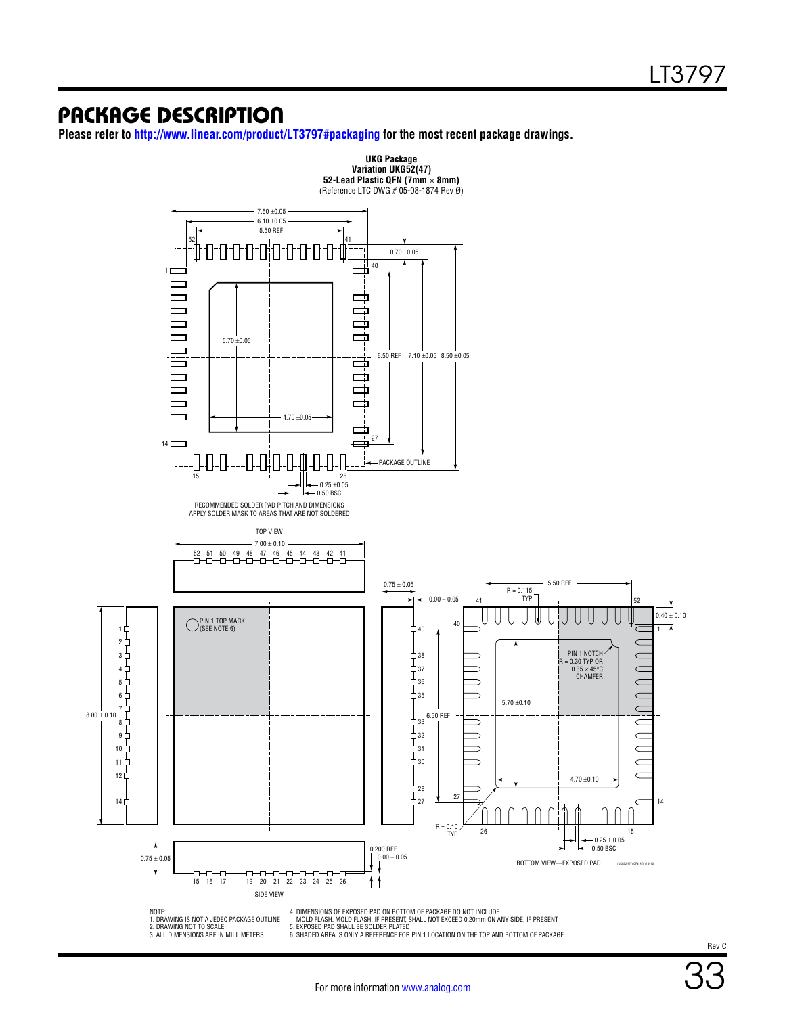### PACKAGE DESCRIPTION

**Please refer to [http://www.linear.com/product/LT3797#packaging](http://www.linear.com/product/LT3797#packaging?doc=LT3797.pdf) for the most recent package drawings.**



1. DRAWING IS NOT A JEDEC PACKAGE OUTLINE 2. DRAWING NOT TO SCALE 3. ALL DIMENSIONS ARE IN MILLIMETERS

MOLD FLASH. MOLD FLASH, IF PRESENT, SHALL NOT EXCEED 0.20mm ON ANY SIDE, IF PRESENT<br>5. EXPOSED PAD SHALL BE SOLDER PLATED<br>6. SHADED AREA IS ONLY A REFERENCE FOR PIN 1 LOCATION ON THE TOP AND BOTTOM OF PACKAGE

Rev C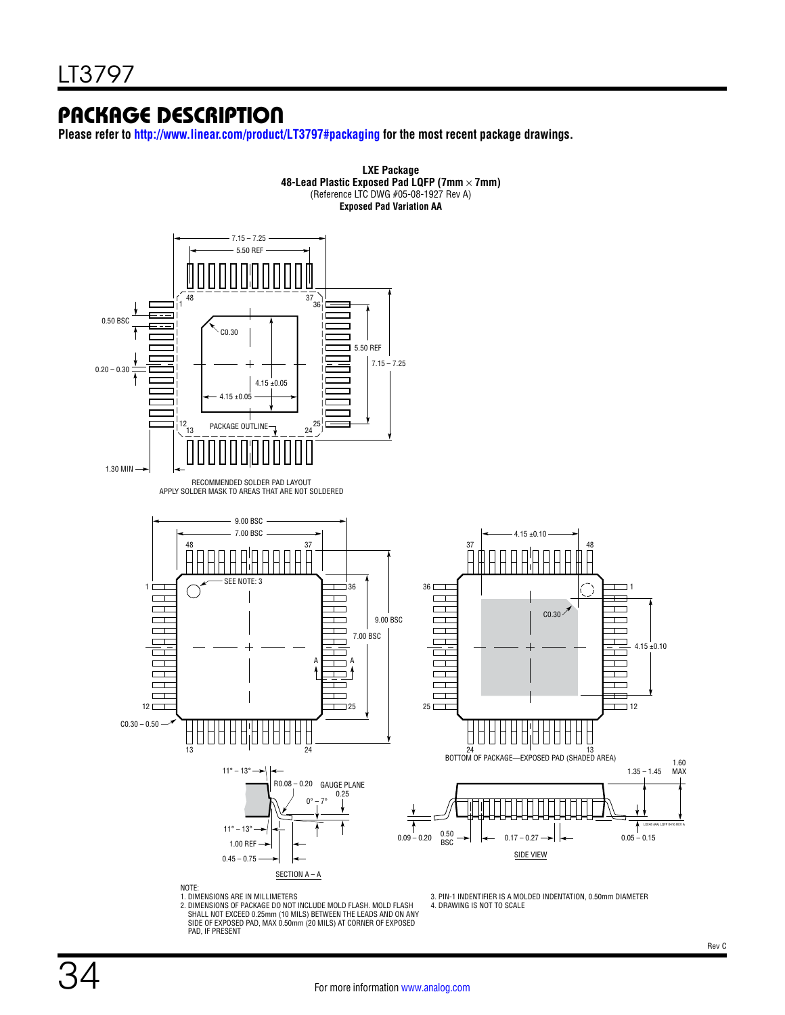### PACKAGE DESCRIPTION

**Please refer to [http://www.linear.com/product/LT3797#packaging](http://www.linear.com/product/LT3797#packaging?doc=LT3797.pdf) for the most recent package drawings.**



1. DIMENSIONS ARE IN MILLIMETERS<br>2. DIMENSIONS OF PACKAGE DO NOT INCLUDE MOLD FLASH. MOLD FLASH<br>- SHALL NOT EXCEED 0.25mm (10 MILS) BETWEEN THE LEADS AND ON ANY SIDE OF EXPOSED PAD, MAX 0.50mm (20 MILS) AT CORNER OF EXPOSED PAD, IF PRESENT

3. PIN-1 INDENTIFIER IS A MOLDED INDENTATION, 0.50mm DIAMETER

4. DRAWING IS NOT TO SCALE

Rev C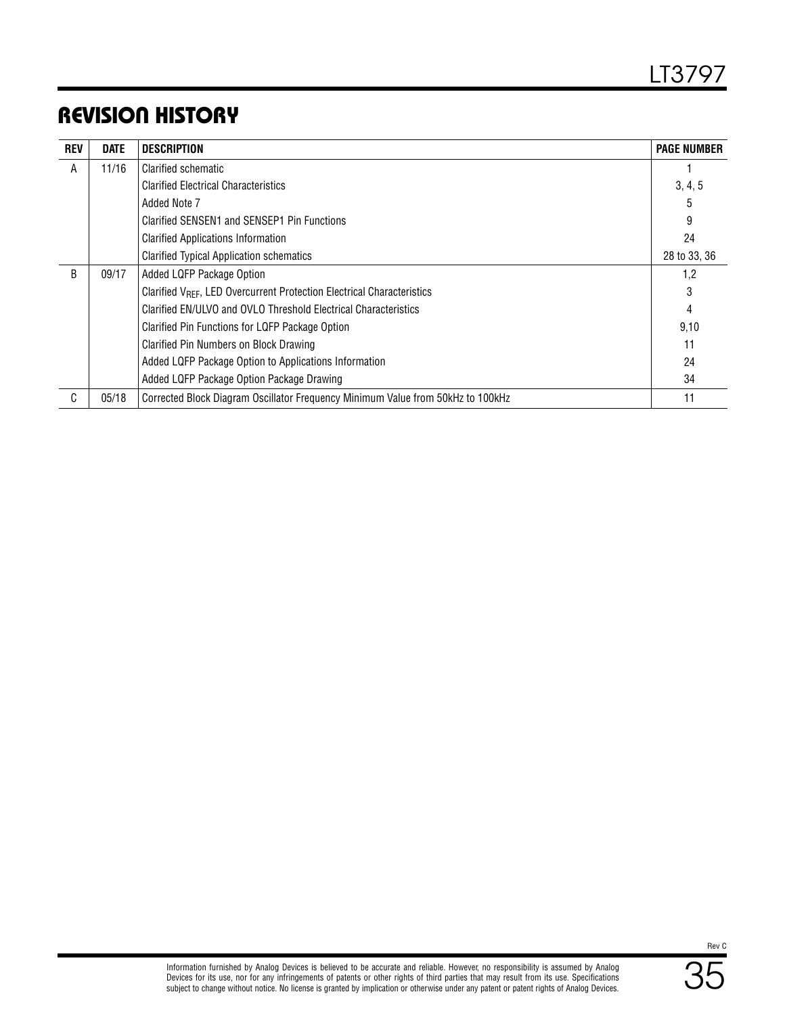### REVISION HISTORY

| <b>REV</b> | <b>DATE</b> | <b>DESCRIPTION</b>                                                                 | <b>PAGE NUMBER</b> |
|------------|-------------|------------------------------------------------------------------------------------|--------------------|
| A          | 11/16       | Clarified schematic                                                                |                    |
|            |             | <b>Clarified Electrical Characteristics</b>                                        | 3, 4, 5            |
|            |             | Added Note 7                                                                       | 5                  |
|            |             | Clarified SENSEN1 and SENSEP1 Pin Functions                                        | 9                  |
|            |             | <b>Clarified Applications Information</b>                                          | 24                 |
|            |             | <b>Clarified Typical Application schematics</b>                                    | 28 to 33, 36       |
| B          | 09/17       | Added LQFP Package Option                                                          | 1,2                |
|            |             | Clarified V <sub>RFF</sub> , LED Overcurrent Protection Electrical Characteristics | 3                  |
|            |             | Clarified EN/ULVO and OVLO Threshold Electrical Characteristics                    | 4                  |
|            |             | Clarified Pin Functions for LQFP Package Option                                    | 9,10               |
|            |             | Clarified Pin Numbers on Block Drawing                                             | 11                 |
|            |             | Added LQFP Package Option to Applications Information                              | 24                 |
|            |             | Added LQFP Package Option Package Drawing                                          | 34                 |
| C          | 05/18       | Corrected Block Diagram Oscillator Frequency Minimum Value from 50kHz to 100kHz    | 11                 |